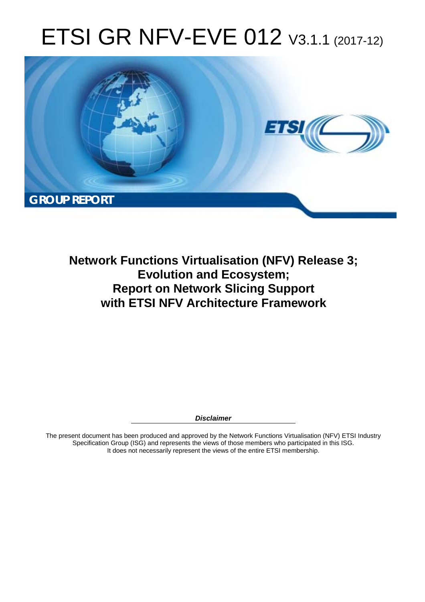# ETSI GR NFV-EVE 012 V3.1.1 (2017-12)



**Network Functions Virtualisation (NFV) Release 3; Evolution and Ecosystem; Report on Network Slicing Support with ETSI NFV Architecture Framework** 

*Disclaimer* 

The present document has been produced and approved by the Network Functions Virtualisation (NFV) ETSI Industry Specification Group (ISG) and represents the views of those members who participated in this ISG. It does not necessarily represent the views of the entire ETSI membership.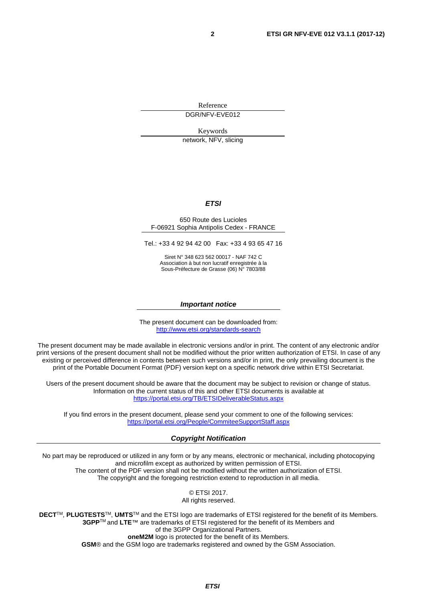Reference

DGR/NFV-EVE012

Keywords

network, NFV, slicing

#### *ETSI*

#### 650 Route des Lucioles F-06921 Sophia Antipolis Cedex - FRANCE

Tel.: +33 4 92 94 42 00 Fax: +33 4 93 65 47 16

Siret N° 348 623 562 00017 - NAF 742 C Association à but non lucratif enregistrée à la Sous-Préfecture de Grasse (06) N° 7803/88

#### *Important notice*

The present document can be downloaded from: <http://www.etsi.org/standards-search>

The present document may be made available in electronic versions and/or in print. The content of any electronic and/or print versions of the present document shall not be modified without the prior written authorization of ETSI. In case of any existing or perceived difference in contents between such versions and/or in print, the only prevailing document is the print of the Portable Document Format (PDF) version kept on a specific network drive within ETSI Secretariat.

Users of the present document should be aware that the document may be subject to revision or change of status. Information on the current status of this and other ETSI documents is available at <https://portal.etsi.org/TB/ETSIDeliverableStatus.aspx>

If you find errors in the present document, please send your comment to one of the following services: <https://portal.etsi.org/People/CommiteeSupportStaff.aspx>

#### *Copyright Notification*

No part may be reproduced or utilized in any form or by any means, electronic or mechanical, including photocopying and microfilm except as authorized by written permission of ETSI. The content of the PDF version shall not be modified without the written authorization of ETSI. The copyright and the foregoing restriction extend to reproduction in all media.

> © ETSI 2017. All rights reserved.

**DECT**TM, **PLUGTESTS**TM, **UMTS**TM and the ETSI logo are trademarks of ETSI registered for the benefit of its Members. **3GPP**TM and **LTE**™ are trademarks of ETSI registered for the benefit of its Members and of the 3GPP Organizational Partners. **oneM2M** logo is protected for the benefit of its Members.

**GSM**® and the GSM logo are trademarks registered and owned by the GSM Association.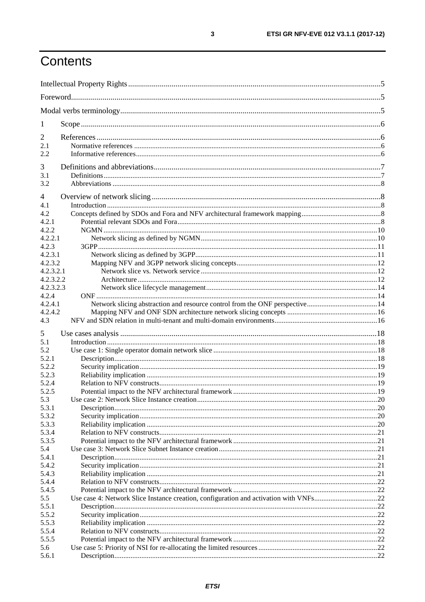# Contents

| $\bf{l}$               |                                                                             |  |  |  |
|------------------------|-----------------------------------------------------------------------------|--|--|--|
| 2                      |                                                                             |  |  |  |
| 2.1                    |                                                                             |  |  |  |
| 2.2                    |                                                                             |  |  |  |
| 3                      |                                                                             |  |  |  |
| 3.1                    |                                                                             |  |  |  |
| 3.2                    |                                                                             |  |  |  |
| $\overline{4}$         |                                                                             |  |  |  |
| 4.1                    |                                                                             |  |  |  |
| 4.2                    |                                                                             |  |  |  |
| 4.2.1<br>4.2.2         |                                                                             |  |  |  |
| 4.2.2.1                |                                                                             |  |  |  |
| 4.2.3                  |                                                                             |  |  |  |
| 4.2.3.1                |                                                                             |  |  |  |
| 4.2.3.2                |                                                                             |  |  |  |
| 4.2.3.2.1              |                                                                             |  |  |  |
| 4.2.3.2.2<br>4.2.3.2.3 |                                                                             |  |  |  |
| 4.2.4                  |                                                                             |  |  |  |
| 4.2.4.1                | Network slicing abstraction and resource control from the ONF perspective14 |  |  |  |
| 4.2.4.2                |                                                                             |  |  |  |
| 4.3                    |                                                                             |  |  |  |
| 5                      |                                                                             |  |  |  |
| 5.1                    |                                                                             |  |  |  |
| 5.2                    |                                                                             |  |  |  |
| 5.2.1                  |                                                                             |  |  |  |
| 5.2.2                  |                                                                             |  |  |  |
| 5.2.3<br>5.2.4         |                                                                             |  |  |  |
| 5.2.5                  |                                                                             |  |  |  |
| 5.3                    |                                                                             |  |  |  |
| 5.3.1                  |                                                                             |  |  |  |
| 5.3.2                  |                                                                             |  |  |  |
| 5.3.3<br>5.3.4         |                                                                             |  |  |  |
| 5.3.5                  |                                                                             |  |  |  |
| 5.4                    |                                                                             |  |  |  |
| 5.4.1                  |                                                                             |  |  |  |
| 5.4.2                  |                                                                             |  |  |  |
| 5.4.3                  |                                                                             |  |  |  |
| 5.4.4                  |                                                                             |  |  |  |
| 5.4.5<br>5.5           |                                                                             |  |  |  |
| 5.5.1                  |                                                                             |  |  |  |
| 5.5.2                  |                                                                             |  |  |  |
| 5.5.3                  |                                                                             |  |  |  |
| 5.5.4                  |                                                                             |  |  |  |
| 5.5.5                  |                                                                             |  |  |  |
| 5.6<br>5.6.1           |                                                                             |  |  |  |
|                        |                                                                             |  |  |  |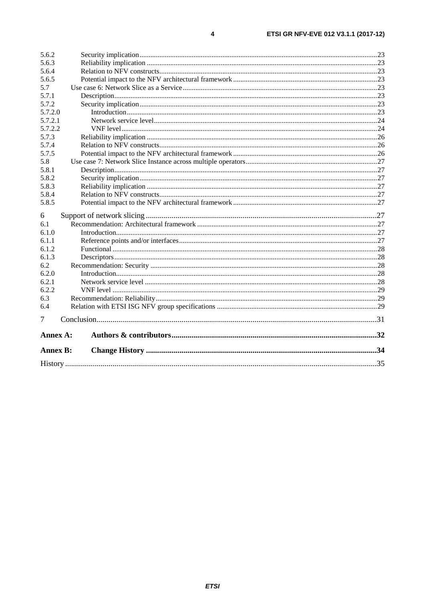| 5.6.2           |  |  |    |  |
|-----------------|--|--|----|--|
| 5.6.3           |  |  |    |  |
| 5.6.4           |  |  |    |  |
| 5.6.5           |  |  |    |  |
| 5.7             |  |  |    |  |
| 5.7.1           |  |  |    |  |
| 5.7.2           |  |  |    |  |
| 5.7.2.0         |  |  |    |  |
| 5.7.2.1         |  |  |    |  |
| 5.7.2.2         |  |  |    |  |
| 5.7.3           |  |  |    |  |
| 5.7.4           |  |  |    |  |
| 5.7.5           |  |  |    |  |
| 5.8             |  |  |    |  |
| 5.8.1           |  |  |    |  |
| 5.8.2           |  |  |    |  |
| 5.8.3           |  |  |    |  |
| 5.8.4           |  |  |    |  |
| 5.8.5           |  |  |    |  |
| 6               |  |  |    |  |
| 6.1             |  |  |    |  |
| 6.1.0           |  |  |    |  |
| 6.1.1           |  |  |    |  |
| 6.1.2           |  |  |    |  |
| 6.1.3           |  |  |    |  |
| 6.2             |  |  |    |  |
| 6.2.0           |  |  |    |  |
| 6.2.1           |  |  |    |  |
| 6.2.2           |  |  |    |  |
| 6.3             |  |  |    |  |
| 6.4             |  |  |    |  |
| 7               |  |  |    |  |
| Annex A:        |  |  |    |  |
| <b>Annex B:</b> |  |  |    |  |
| History         |  |  | 35 |  |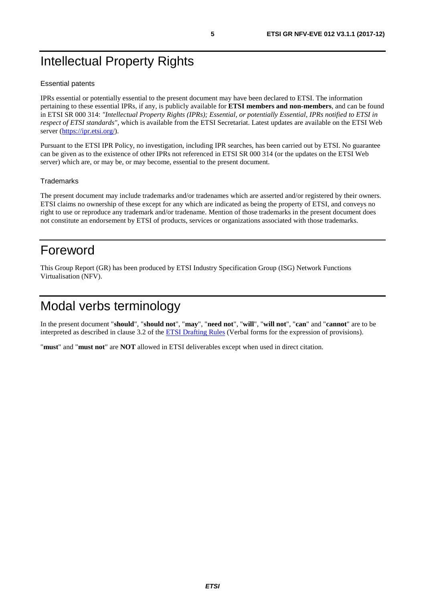# <span id="page-4-0"></span>Intellectual Property Rights

#### Essential patents

IPRs essential or potentially essential to the present document may have been declared to ETSI. The information pertaining to these essential IPRs, if any, is publicly available for **ETSI members and non-members**, and can be found in ETSI SR 000 314: *"Intellectual Property Rights (IPRs); Essential, or potentially Essential, IPRs notified to ETSI in respect of ETSI standards"*, which is available from the ETSI Secretariat. Latest updates are available on the ETSI Web server (<https://ipr.etsi.org/>).

Pursuant to the ETSI IPR Policy, no investigation, including IPR searches, has been carried out by ETSI. No guarantee can be given as to the existence of other IPRs not referenced in ETSI SR 000 314 (or the updates on the ETSI Web server) which are, or may be, or may become, essential to the present document.

#### **Trademarks**

The present document may include trademarks and/or tradenames which are asserted and/or registered by their owners. ETSI claims no ownership of these except for any which are indicated as being the property of ETSI, and conveys no right to use or reproduce any trademark and/or tradename. Mention of those trademarks in the present document does not constitute an endorsement by ETSI of products, services or organizations associated with those trademarks.

# Foreword

This Group Report (GR) has been produced by ETSI Industry Specification Group (ISG) Network Functions Virtualisation (NFV).

# Modal verbs terminology

In the present document "**should**", "**should not**", "**may**", "**need not**", "**will**", "**will not**", "**can**" and "**cannot**" are to be interpreted as described in clause 3.2 of the **ETSI Drafting Rules** (Verbal forms for the expression of provisions).

"**must**" and "**must not**" are **NOT** allowed in ETSI deliverables except when used in direct citation.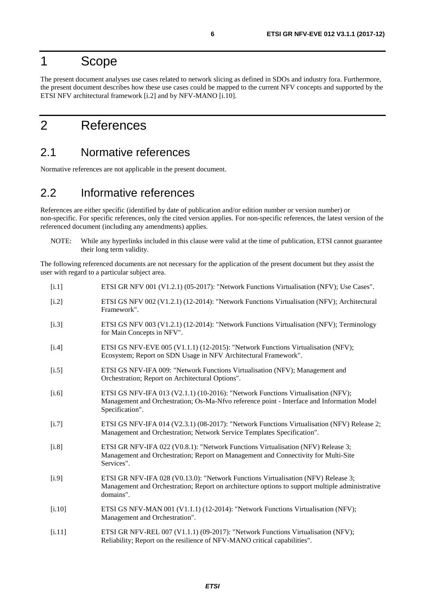# <span id="page-5-0"></span>1 Scope

The present document analyses use cases related to network slicing as defined in SDOs and industry fora. Furthermore, the present document describes how these use cases could be mapped to the current NFV concepts and supported by the ETSI NFV architectural framework [i.2] and by NFV-MANO [i.10].

# 2 References

### 2.1 Normative references

Normative references are not applicable in the present document.

### 2.2 Informative references

References are either specific (identified by date of publication and/or edition number or version number) or non-specific. For specific references, only the cited version applies. For non-specific references, the latest version of the referenced document (including any amendments) applies.

NOTE: While any hyperlinks included in this clause were valid at the time of publication, ETSI cannot guarantee their long term validity.

The following referenced documents are not necessary for the application of the present document but they assist the user with regard to a particular subject area.

| [i.1]   | ETSI GR NFV 001 (V1.2.1) (05-2017): "Network Functions Virtualisation (NFV); Use Cases".                                                                                                          |
|---------|---------------------------------------------------------------------------------------------------------------------------------------------------------------------------------------------------|
| $[i.2]$ | ETSI GS NFV 002 (V1.2.1) (12-2014): "Network Functions Virtualisation (NFV); Architectural<br>Framework".                                                                                         |
| [i.3]   | ETSI GS NFV 003 (V1.2.1) (12-2014): "Network Functions Virtualisation (NFV); Terminology<br>for Main Concepts in NFV".                                                                            |
| [i.4]   | ETSI GS NFV-EVE 005 (V1.1.1) (12-2015): "Network Functions Virtualisation (NFV);<br>Ecosystem; Report on SDN Usage in NFV Architectural Framework".                                               |
| [i.5]   | ETSI GS NFV-IFA 009: "Network Functions Virtualisation (NFV); Management and<br>Orchestration; Report on Architectural Options".                                                                  |
| [i.6]   | ETSI GS NFV-IFA 013 (V2.1.1) (10-2016): "Network Functions Virtualisation (NFV);<br>Management and Orchestration; Os-Ma-Nfvo reference point - Interface and Information Model<br>Specification". |
| [i.7]   | ETSI GS NFV-IFA 014 (V2.3.1) (08-2017): "Network Functions Virtualisation (NFV) Release 2;<br>Management and Orchestration; Network Service Templates Specification".                             |
| $[1.8]$ | ETSI GR NFV-IFA 022 (V0.8.1): "Network Functions Virtualisation (NFV) Release 3;<br>Management and Orchestration; Report on Management and Connectivity for Multi-Site<br>Services".              |
| [i.9]   | ETSI GR NFV-IFA 028 (V0.13.0): "Network Functions Virtualisation (NFV) Release 3;<br>Management and Orchestration; Report on architecture options to support multiple administrative<br>domains". |
| [i.10]  | ETSI GS NFV-MAN 001 (V1.1.1) (12-2014): "Network Functions Virtualisation (NFV);<br>Management and Orchestration".                                                                                |
| [i.11]  | ETSI GR NFV-REL 007 (V1.1.1) (09-2017): "Network Functions Virtualisation (NFV);<br>Reliability; Report on the resilience of NFV-MANO critical capabilities".                                     |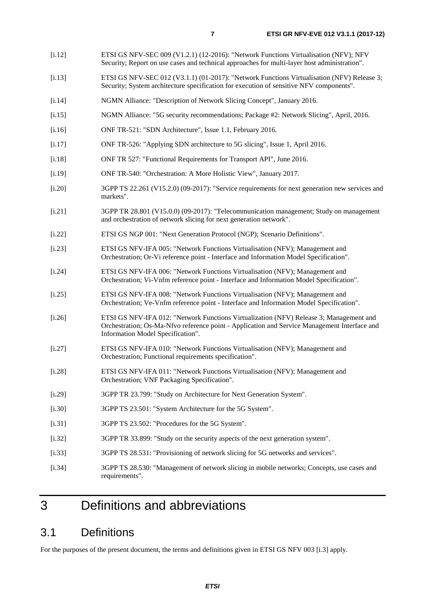- <span id="page-6-0"></span>[i.12] ETSI GS NFV-SEC 009 (V1.2.1) (12-2016): "Network Functions Virtualisation (NFV); NFV Security; Report on use cases and technical approaches for multi-layer host administration".
- [i.13] ETSI GS NFV-SEC 012 (V3.1.1) (01-2017): "Network Functions Virtualisation (NFV) Release 3; Security; System architecture specification for execution of sensitive NFV components".
- [i.14] NGMN Alliance: "Description of Network Slicing Concept", January 2016.
- [i.15] NGMN Alliance: "5G security recommendations; Package #2: Network Slicing", April, 2016.
- [i.16] ONF TR-521: "SDN Architecture", Issue 1.1, February 2016.
- [i.17] ONF TR-526: "Applying SDN architecture to 5G slicing", Issue 1, April 2016.
- [i.18] ONF TR 527: "Functional Requirements for Transport API", June 2016.
- [i.19] ONF TR-540: "Orchestration: A More Holistic View", January 2017.
- [i.20] 3GPP TS 22.261 (V15.2.0) (09-2017): "Service requirements for next generation new services and markets".
- [i.21] 3GPP TR 28.801 (V15.0.0) (09-2017): "Telecommunication management; Study on management and orchestration of network slicing for next generation network".
- [i.22] ETSI GS NGP 001: "Next Generation Protocol (NGP); Scenario Definitions".
- [i.23] ETSI GS NFV-IFA 005: "Network Functions Virtualisation (NFV); Management and Orchestration; Or-Vi reference point - Interface and Information Model Specification".
- [i.24] ETSI GS NFV-IFA 006: "Network Functions Virtualisation (NFV); Management and Orchestration; Vi-Vnfm reference point - Interface and Information Model Specification".
- [i.25] ETSI GS NFV-IFA 008: "Network Functions Virtualisation (NFV); Management and Orchestration; Ve-Vnfm reference point - Interface and Information Model Specification".
- [i.26] ETSI GS NFV-IFA 012: "Network Functions Virtualization (NFV) Release 3; Management and Orchestration; Os-Ma-Nfvo reference point - Application and Service Management Interface and Information Model Specification".
- [i.27] ETSI GS NFV-IFA 010: "Network Functions Virtualisation (NFV); Management and Orchestration; Functional requirements specification".
- [i.28] ETSI GS NFV-IFA 011: "Network Functions Virtualisation (NFV); Management and Orchestration; VNF Packaging Specification".
- [i.29] 3GPP TR 23.799: "Study on Architecture for Next Generation System".
- [i.30] 3GPP TS 23.501: "System Architecture for the 5G System".
- [i.31] 3GPP TS 23.502: "Procedures for the 5G System".
- [i.32] 3GPP TR 33.899: "Study on the security aspects of the next generation system".
- [i.33] 3GPP TS 28.531: "Provisioning of network slicing for 5G networks and services".
- [i.34] 3GPP TS 28.530: "Management of network slicing in mobile networks; Concepts, use cases and requirements".

# 3 Definitions and abbreviations

## 3.1 Definitions

For the purposes of the present document, the terms and definitions given in ETSI GS NFV 003 [\[i.3](#page-5-0)] apply.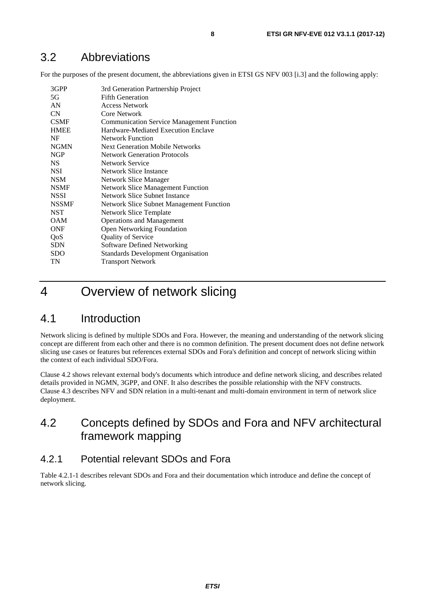# <span id="page-7-0"></span>3.2 Abbreviations

For the purposes of the present document, the abbreviations given in ETSI GS NFV 003 [\[i.3\]](#page-5-0) and the following apply:

| 3GPP<br>5G<br>AN | 3rd Generation Partnership Project<br><b>Fifth Generation</b><br><b>Access Network</b> |
|------------------|----------------------------------------------------------------------------------------|
| CN               | Core Network                                                                           |
| <b>CSMF</b>      | <b>Communication Service Management Function</b>                                       |
| <b>HMEE</b>      | Hardware-Mediated Execution Enclave                                                    |
| NF               | Network Function                                                                       |
| <b>NGMN</b>      | <b>Next Generation Mobile Networks</b>                                                 |
| <b>NGP</b>       | <b>Network Generation Protocols</b>                                                    |
| <b>NS</b>        | Network Service                                                                        |
| <b>NSI</b>       | Network Slice Instance                                                                 |
| <b>NSM</b>       | Network Slice Manager                                                                  |
| <b>NSMF</b>      | <b>Network Slice Management Function</b>                                               |
| <b>NSSI</b>      | Network Slice Subnet Instance                                                          |
| <b>NSSMF</b>     | <b>Network Slice Subnet Management Function</b>                                        |
| <b>NST</b>       | Network Slice Template                                                                 |
| <b>OAM</b>       | <b>Operations and Management</b>                                                       |
| <b>ONF</b>       | <b>Open Networking Foundation</b>                                                      |
| QoS              | <b>Quality of Service</b>                                                              |
| <b>SDN</b>       | <b>Software Defined Networking</b>                                                     |
| <b>SDO</b>       | <b>Standards Development Organisation</b>                                              |
| TN               | <b>Transport Network</b>                                                               |

# 4 Overview of network slicing

# 4.1 Introduction

Network slicing is defined by multiple SDOs and Fora. However, the meaning and understanding of the network slicing concept are different from each other and there is no common definition. The present document does not define network slicing use cases or features but references external SDOs and Fora's definition and concept of network slicing within the context of each individual SDO/Fora.

Clause 4.2 shows relevant external body's documents which introduce and define network slicing, and describes related details provided in NGMN, 3GPP, and ONF. It also describes the possible relationship with the NFV constructs. Clause 4.3 describes NFV and SDN relation in a multi-tenant and multi-domain environment in term of network slice deployment.

# 4.2 Concepts defined by SDOs and Fora and NFV architectural framework mapping

### 4.2.1 Potential relevant SDOs and Fora

Table 4.2.1-1 describes relevant SDOs and Fora and their documentation which introduce and define the concept of network slicing.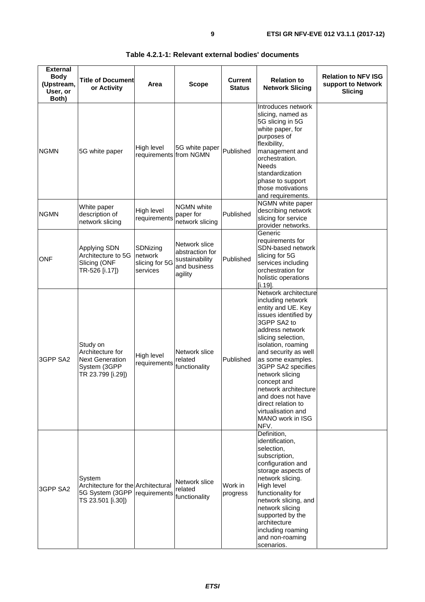| <b>External</b><br><b>Body</b><br>(Upstream,<br>User, or<br>Both) | <b>Title of Document</b><br>or Activity                                                     | Area                                              | <b>Scope</b>                                                                  | <b>Current</b><br><b>Status</b> | <b>Relation to</b><br><b>Network Slicing</b>                                                                                                                                                                                                                                                                                                                                                    | <b>Relation to NFV ISG</b><br>support to Network<br><b>Slicing</b> |
|-------------------------------------------------------------------|---------------------------------------------------------------------------------------------|---------------------------------------------------|-------------------------------------------------------------------------------|---------------------------------|-------------------------------------------------------------------------------------------------------------------------------------------------------------------------------------------------------------------------------------------------------------------------------------------------------------------------------------------------------------------------------------------------|--------------------------------------------------------------------|
| <b>NGMN</b>                                                       | 5G white paper                                                                              | High level<br>requirements from NGMN              | 5G white paper                                                                | Published                       | Introduces network<br>slicing, named as<br>5G slicing in 5G<br>white paper, for<br>purposes of<br>flexibility,<br>management and<br>orchestration.<br>Needs<br>standardization<br>phase to support<br>those motivations<br>and requirements.                                                                                                                                                    |                                                                    |
| <b>NGMN</b>                                                       | White paper<br>description of<br>network slicing                                            | High level<br>requirements                        | <b>NGMN</b> white<br>paper for<br>network slicing                             | Published                       | NGMN white paper<br>describing network<br>slicing for service<br>provider networks.                                                                                                                                                                                                                                                                                                             |                                                                    |
| <b>ONF</b>                                                        | <b>Applying SDN</b><br>Architecture to 5G<br>Slicing (ONF<br>TR-526 [i.17])                 | SDNizing<br>network<br>slicing for 5G<br>services | Network slice<br>abstraction for<br>sustainability<br>and business<br>agility | Published                       | Generic<br>requirements for<br>SDN-based network<br>slicing for 5G<br>services including<br>orchestration for<br>holistic operations<br>$[i.19]$ .                                                                                                                                                                                                                                              |                                                                    |
| 3GPP SA2                                                          | Study on<br>Architecture for<br><b>Next Generation</b><br>System (3GPP<br>TR 23.799 [i.29]) | High level<br>requirements                        | Network slice<br>related<br>functionality                                     | Published                       | Network architecture<br>including network<br>entity and UE. Key<br>issues identified by<br>3GPP SA2 to<br>address network<br>slicing selection,<br>isolation, roaming<br>and security as well<br>as some examples.<br>3GPP SA2 specifies<br>network slicing<br>concept and<br>network architecture<br>and does not have<br>direct relation to<br>virtualisation and<br>MANO work in ISG<br>NFV. |                                                                    |
| 3GPP SA2                                                          | System<br>Architecture for the Architectural<br>5G System (3GPP<br>TS 23.501 [i.30])        | requirements                                      | Network slice<br>related<br>functionality                                     | Work in<br>progress             | Definition,<br>identification,<br>selection,<br>subscription,<br>configuration and<br>storage aspects of<br>network slicing.<br>High level<br>functionality for<br>network slicing, and<br>network slicing<br>supported by the<br>architecture<br>including roaming<br>and non-roaming<br>scenarios.                                                                                            |                                                                    |

#### **Table 4.2.1-1: Relevant external bodies' documents**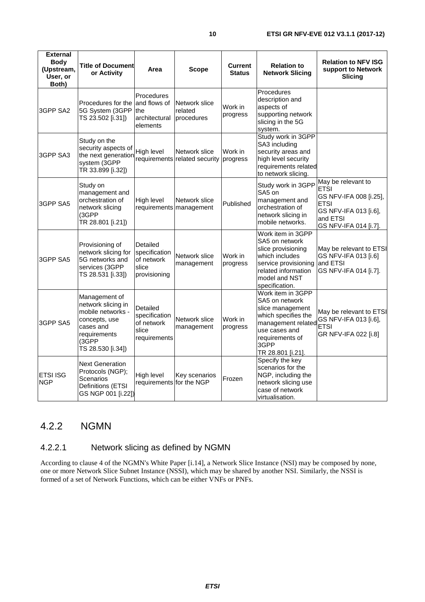<span id="page-9-0"></span>

| <b>External</b><br><b>Body</b><br>(Upstream,<br>User, or<br>Both) | <b>Title of Document</b><br>or Activity                                                                                              | Area                                                             | <b>Scope</b>                             | <b>Current</b><br><b>Status</b> | <b>Relation to</b><br><b>Network Slicing</b>                                                                                                                          | <b>Relation to NFV ISG</b><br>support to Network<br>Slicing                                                                              |
|-------------------------------------------------------------------|--------------------------------------------------------------------------------------------------------------------------------------|------------------------------------------------------------------|------------------------------------------|---------------------------------|-----------------------------------------------------------------------------------------------------------------------------------------------------------------------|------------------------------------------------------------------------------------------------------------------------------------------|
| 3GPP SA2                                                          | Procedures for the<br>5G System (3GPP<br>TS 23.502 [i.31])                                                                           | Procedures<br>and flows of<br>lthe<br>architectural<br>elements  | Network slice<br>related<br>procedures   | Work in<br>progress             | Procedures<br>description and<br>aspects of<br>supporting network<br>slicing in the 5G<br>system.                                                                     |                                                                                                                                          |
| 3GPP SA3                                                          | Study on the<br>security aspects of<br>the next generation<br>system (3GPP<br>TR 33.899 [i.32])                                      | High level<br>requirements                                       | Network slice<br>related security        | Work in<br>progress             | Study work in 3GPP<br>SA3 including<br>security areas and<br>high level security<br>requirements related<br>to network slicing.                                       |                                                                                                                                          |
| 3GPP SA5                                                          | Study on<br>management and<br>orchestration of<br>network slicing<br>(3GPP<br>TR 28.801 [i.21])                                      | High level                                                       | Network slice<br>requirements management | Published                       | Study work in 3GPP<br>SA5 on<br>management and<br>orchestration of<br>network slicing in<br>mobile networks.                                                          | May be relevant to<br><b>ETSI</b><br>GS NFV-IFA 008 [i.25],<br><b>ETSI</b><br>GS NFV-IFA 013 [i.6],<br>and ETSI<br>GS NFV-IFA 014 [i.7]. |
| 3GPP SA5                                                          | Provisioning of<br>network slicing for<br>5G networks and<br>services (3GPP<br>TS 28.531 [i.33])                                     | Detailed<br>specification<br>of network<br>slice<br>provisioning | Network slice<br>management              | Work in<br>progress             | Work item in 3GPP<br>SA5 on network<br>slice provisioning<br>which includes<br>service provisioning<br>related information<br>model and NST<br>specification.         | May be relevant to ETSI<br>GS NFV-IFA 013 [i.6]<br>and ETSI<br>GS NFV-IFA 014 [i.7].                                                     |
| 3GPP SA5                                                          | Management of<br>network slicing in<br>mobile networks -<br>concepts, use<br>cases and<br>requirements<br>(3GPP<br>TS 28.530 [i.34]) | Detailed<br>specification<br>of network<br>slice<br>requirements | Network slice<br>management              | Work in<br>progress             | Work item in 3GPP<br>SA5 on network<br>slice management<br>which specifies the<br>management related<br>use cases and<br>requirements of<br>3GPP<br>TR 28.801 [i.21]. | May be relevant to ETSI<br>GS NFV-IFA 013 [i.6],<br><b>ETSI</b><br>GR NFV-IFA 022 [i.8]                                                  |
| <b>ETSI ISG</b><br><b>NGP</b>                                     | <b>Next Generation</b><br>Protocols (NGP);<br>Scenarios<br>Definitions (ETSI<br>GS NGP 001 [i.22])                                   | High level<br>requirements for the NGP                           | Key scenarios                            | Frozen                          | Specify the key<br>scenarios for the<br>NGP, including the<br>network slicing use<br>case of network<br>virtualisation.                                               |                                                                                                                                          |

### 4.2.2 NGMN

### 4.2.2.1 Network slicing as defined by NGMN

According to clause 4 of the NGMN's White Paper [\[i.14](#page-6-0)], a Network Slice Instance (NSI) may be composed by none, one or more Network Slice Subnet Instance (NSSI), which may be shared by another NSI. Similarly, the NSSI is formed of a set of Network Functions, which can be either VNFs or PNFs.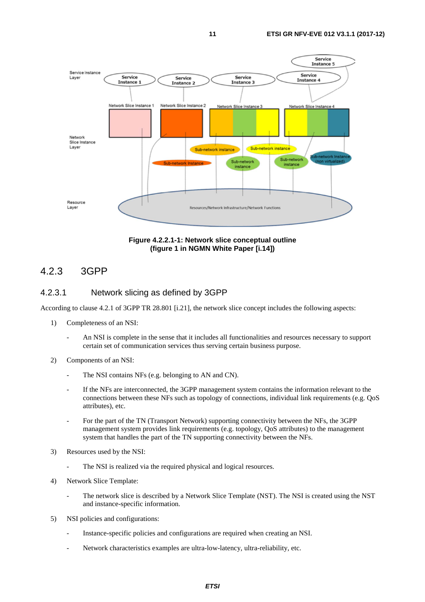<span id="page-10-0"></span>



#### 4.2.3 3GPP

#### 4.2.3.1 Network slicing as defined by 3GPP

According to clause 4.2.1 of 3GPP TR 28.801 [[i.21](#page-6-0)], the network slice concept includes the following aspects:

- 1) Completeness of an NSI:
	- An NSI is complete in the sense that it includes all functionalities and resources necessary to support certain set of communication services thus serving certain business purpose.
- 2) Components of an NSI:
	- The NSI contains NFs (e.g. belonging to AN and CN).
	- If the NFs are interconnected, the 3GPP management system contains the information relevant to the connections between these NFs such as topology of connections, individual link requirements (e.g. QoS attributes), etc.
	- For the part of the TN (Transport Network) supporting connectivity between the NFs, the 3GPP management system provides link requirements (e.g. topology, QoS attributes) to the management system that handles the part of the TN supporting connectivity between the NFs.
- 3) Resources used by the NSI:
	- The NSI is realized via the required physical and logical resources.
- 4) Network Slice Template:
	- The network slice is described by a Network Slice Template (NST). The NSI is created using the NST and instance-specific information.
- 5) NSI policies and configurations:
	- Instance-specific policies and configurations are required when creating an NSI.
	- Network characteristics examples are ultra-low-latency, ultra-reliability, etc.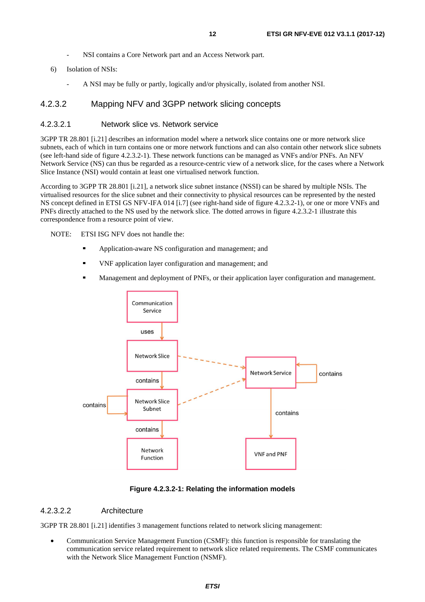- NSI contains a Core Network part and an Access Network part.
- <span id="page-11-0"></span>6) Isolation of NSIs:
	- A NSI may be fully or partly, logically and/or physically, isolated from another NSI.

#### 4.2.3.2 Mapping NFV and 3GPP network slicing concepts

#### 4.2.3.2.1 Network slice vs. Network service

3GPP TR 28.801 [[i.21](#page-6-0)] describes an information model where a network slice contains one or more network slice subnets, each of which in turn contains one or more network functions and can also contain other network slice subnets (see left-hand side of figure 4.2.3.2-1). These network functions can be managed as VNFs and/or PNFs. An NFV Network Service (NS) can thus be regarded as a resource-centric view of a network slice, for the cases where a Network Slice Instance (NSI) would contain at least one virtualised network function.

According to 3GPP TR 28.801 [\[i.21](#page-6-0)], a network slice subnet instance (NSSI) can be shared by multiple NSIs. The virtualised resources for the slice subnet and their connectivity to physical resources can be represented by the nested NS concept defined in ETSI GS NFV-IFA 014 [[i.7](#page-5-0)] (see right-hand side of figure 4.2.3.2-1), or one or more VNFs and PNFs directly attached to the NS used by the network slice. The dotted arrows in figure 4.2.3.2-1 illustrate this correspondence from a resource point of view.

NOTE: ETSI ISG NFV does not handle the:

- Application-aware NS configuration and management; and
- VNF application layer configuration and management; and
- Management and deployment of PNFs, or their application layer configuration and management.



**Figure 4.2.3.2-1: Relating the information models** 

#### 4.2.3.2.2 Architecture

3GPP TR 28.801 [\[i.21](#page-6-0)] identifies 3 management functions related to network slicing management:

• Communication Service Management Function (CSMF): this function is responsible for translating the communication service related requirement to network slice related requirements. The CSMF communicates with the Network Slice Management Function (NSMF).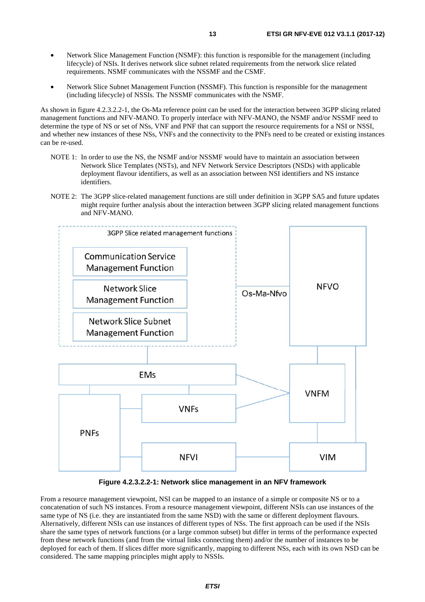- Network Slice Management Function (NSMF): this function is responsible for the management (including lifecycle) of NSIs. It derives network slice subnet related requirements from the network slice related requirements. NSMF communicates with the NSSMF and the CSMF.
- Network Slice Subnet Management Function (NSSMF). This function is responsible for the management (including lifecycle) of NSSIs. The NSSMF communicates with the NSMF.

As shown in figure 4.2.3.2.2-1, the Os-Ma reference point can be used for the interaction between 3GPP slicing related management functions and NFV-MANO. To properly interface with NFV-MANO, the NSMF and/or NSSMF need to determine the type of NS or set of NSs, VNF and PNF that can support the resource requirements for a NSI or NSSI, and whether new instances of these NSs, VNFs and the connectivity to the PNFs need to be created or existing instances can be re-used.

- NOTE 1: In order to use the NS, the NSMF and/or NSSMF would have to maintain an association between Network Slice Templates (NSTs), and NFV Network Service Descriptors (NSDs) with applicable deployment flavour identifiers, as well as an association between NSI identifiers and NS instance identifiers.
- NOTE 2: The 3GPP slice-related management functions are still under definition in 3GPP SA5 and future updates might require further analysis about the interaction between 3GPP slicing related management functions and NFV-MANO.



**Figure 4.2.3.2.2-1: Network slice management in an NFV framework** 

From a resource management viewpoint, NSI can be mapped to an instance of a simple or composite NS or to a concatenation of such NS instances. From a resource management viewpoint, different NSIs can use instances of the same type of NS (i.e. they are instantiated from the same NSD) with the same or different deployment flavours. Alternatively, different NSIs can use instances of different types of NSs. The first approach can be used if the NSIs share the same types of network functions (or a large common subset) but differ in terms of the performance expected from these network functions (and from the virtual links connecting them) and/or the number of instances to be deployed for each of them. If slices differ more significantly, mapping to different NSs, each with its own NSD can be considered. The same mapping principles might apply to NSSIs.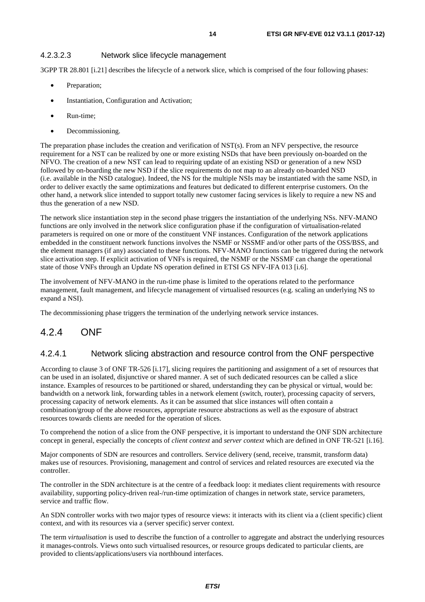#### <span id="page-13-0"></span>4.2.3.2.3 Network slice lifecycle management

3GPP TR 28.801 [[i.21](#page-6-0)] describes the lifecycle of a network slice, which is comprised of the four following phases:

- Preparation;
- Instantiation, Configuration and Activation;
- Run-time:
- Decommissioning.

The preparation phase includes the creation and verification of NST(s). From an NFV perspective, the resource requirement for a NST can be realized by one or more existing NSDs that have been previously on-boarded on the NFVO. The creation of a new NST can lead to requiring update of an existing NSD or generation of a new NSD followed by on-boarding the new NSD if the slice requirements do not map to an already on-boarded NSD (i.e. available in the NSD catalogue). Indeed, the NS for the multiple NSIs may be instantiated with the same NSD, in order to deliver exactly the same optimizations and features but dedicated to different enterprise customers. On the other hand, a network slice intended to support totally new customer facing services is likely to require a new NS and thus the generation of a new NSD.

The network slice instantiation step in the second phase triggers the instantiation of the underlying NSs. NFV-MANO functions are only involved in the network slice configuration phase if the configuration of virtualisation-related parameters is required on one or more of the constituent VNF instances. Configuration of the network applications embedded in the constituent network functions involves the NSMF or NSSMF and/or other parts of the OSS/BSS, and the element managers (if any) associated to these functions. NFV-MANO functions can be triggered during the network slice activation step. If explicit activation of VNFs is required, the NSMF or the NSSMF can change the operational state of those VNFs through an Update NS operation defined in ETSI GS NFV-IFA 013 [\[i.6](#page-5-0)].

The involvement of NFV-MANO in the run-time phase is limited to the operations related to the performance management, fault management, and lifecycle management of virtualised resources (e.g. scaling an underlying NS to expand a NSI).

The decommissioning phase triggers the termination of the underlying network service instances.

### 4.2.4 ONF

#### 4.2.4.1 Network slicing abstraction and resource control from the ONF perspective

According to clause 3 of ONF TR-526 [[i.17](#page-6-0)], slicing requires the partitioning and assignment of a set of resources that can be used in an isolated, disjunctive or shared manner. A set of such dedicated resources can be called a slice instance. Examples of resources to be partitioned or shared, understanding they can be physical or virtual, would be: bandwidth on a network link, forwarding tables in a network element (switch, router), processing capacity of servers, processing capacity of network elements. As it can be assumed that slice instances will often contain a combination/group of the above resources, appropriate resource abstractions as well as the exposure of abstract resources towards clients are needed for the operation of slices.

To comprehend the notion of a slice from the ONF perspective, it is important to understand the ONF SDN architecture concept in general, especially the concepts of *client context* and *server context* which are defined in ONF TR-521 [\[i.16](#page-6-0)].

Major components of SDN are resources and controllers. Service delivery (send, receive, transmit, transform data) makes use of resources. Provisioning, management and control of services and related resources are executed via the controller.

The controller in the SDN architecture is at the centre of a feedback loop: it mediates client requirements with resource availability, supporting policy-driven real-/run-time optimization of changes in network state, service parameters, service and traffic flow.

An SDN controller works with two major types of resource views: it interacts with its client via a (client specific) client context, and with its resources via a (server specific) server context.

The term *virtualisation* is used to describe the function of a controller to aggregate and abstract the underlying resources it manages-controls. Views onto such virtualised resources, or resource groups dedicated to particular clients, are provided to clients/applications/users via northbound interfaces.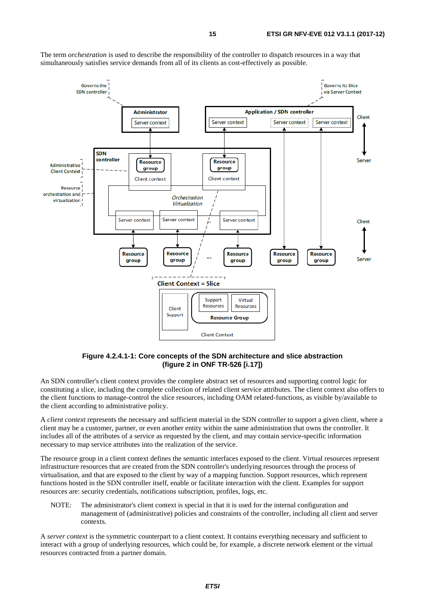

The term *orchestration* is used to describe the responsibility of the controller to dispatch resources in a way that simultaneously satisfies service demands from all of its clients as cost-effectively as possible.

**Figure 4.2.4.1-1: Core concepts of the SDN architecture and slice abstraction (figure 2 in ONF TR-526 [\[i.17](#page-6-0)])** 

An SDN controller's client context provides the complete abstract set of resources and supporting control logic for constituting a slice, including the complete collection of related client service attributes. The client context also offers to the client functions to manage-control the slice resources, including OAM related-functions, as visible by/available to the client according to administrative policy.

A *client context* represents the necessary and sufficient material in the SDN controller to support a given client, where a client may be a customer, partner, or even another entity within the same administration that owns the controller. It includes all of the attributes of a service as requested by the client, and may contain service-specific information necessary to map service attributes into the realization of the service.

The resource group in a client context defines the semantic interfaces exposed to the client. Virtual resources represent infrastructure resources that are created from the SDN controller's underlying resources through the process of virtualisation, and that are exposed to the client by way of a mapping function. Support resources, which represent functions hosted in the SDN controller itself, enable or facilitate interaction with the client. Examples for support resources are: security credentials, notifications subscription, profiles, logs, etc.

NOTE: The administrator's client context is special in that it is used for the internal configuration and management of (administrative) policies and constraints of the controller, including all client and server contexts.

A *server context* is the symmetric counterpart to a client context. It contains everything necessary and sufficient to interact with a group of underlying resources, which could be, for example, a discrete network element or the virtual resources contracted from a partner domain.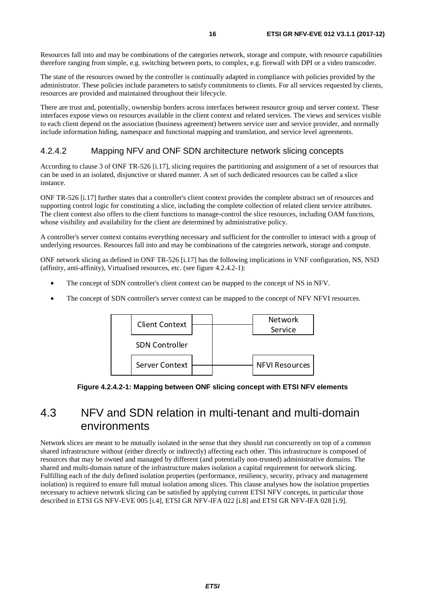<span id="page-15-0"></span>Resources fall into and may be combinations of the categories network, storage and compute, with resource capabilities therefore ranging from simple, e.g. switching between ports, to complex, e.g. firewall with DPI or a video transcoder.

The state of the resources owned by the controller is continually adapted in compliance with policies provided by the administrator. These policies include parameters to satisfy commitments to clients. For all services requested by clients, resources are provided and maintained throughout their lifecycle.

There are trust and, potentially, ownership borders across interfaces between resource group and server context. These interfaces expose views on resources available in the client context and related services. The views and services visible to each client depend on the association (business agreement) between service user and service provider, and normally include information hiding, namespace and functional mapping and translation, and service level agreements.

#### 4.2.4.2 Mapping NFV and ONF SDN architecture network slicing concepts

According to clause 3 of ONF TR-526 [[i.17](#page-6-0)], slicing requires the partitioning and assignment of a set of resources that can be used in an isolated, disjunctive or shared manner. A set of such dedicated resources can be called a slice instance.

ONF TR-526 [\[i.17](#page-6-0)] further states that a controller's client context provides the complete abstract set of resources and supporting control logic for constituting a slice, including the complete collection of related client service attributes. The client context also offers to the client functions to manage-control the slice resources, including OAM functions, whose visibility and availability for the client are determined by administrative policy.

A controller's server context contains everything necessary and sufficient for the controller to interact with a group of underlying resources. Resources fall into and may be combinations of the categories network, storage and compute.

ONF network slicing as defined in ONF TR-526 [\[i.17\]](#page-6-0) has the following implications in VNF configuration, NS, NSD (affinity, anti-affinity), Virtualised resources, etc. (see figure 4.2.4.2-1):

- The concept of SDN controller's client context can be mapped to the concept of NS in NFV.
- The concept of SDN controller's server context can be mapped to the concept of NFV NFVI resources.



**Figure 4.2.4.2-1: Mapping between ONF slicing concept with ETSI NFV elements** 

# 4.3 NFV and SDN relation in multi-tenant and multi-domain environments

Network slices are meant to be mutually isolated in the sense that they should run concurrently on top of a common shared infrastructure without (either directly or indirectly) affecting each other. This infrastructure is composed of resources that may be owned and managed by different (and potentially non-trusted) administrative domains. The shared and multi-domain nature of the infrastructure makes isolation a capital requirement for network slicing. Fulfilling each of the duly defined isolation properties (performance, resiliency, security, privacy and management isolation) is required to ensure full mutual isolation among slices. This clause analyses how the isolation properties necessary to achieve network slicing can be satisfied by applying current ETSI NFV concepts, in particular those described in ETSI GS NFV-EVE 005 [\[i.4](#page-5-0)], ETSI GR NFV-IFA 022 [\[i.8](#page-5-0)] and ETSI GR NFV-IFA 028 [[i.9](#page-5-0)].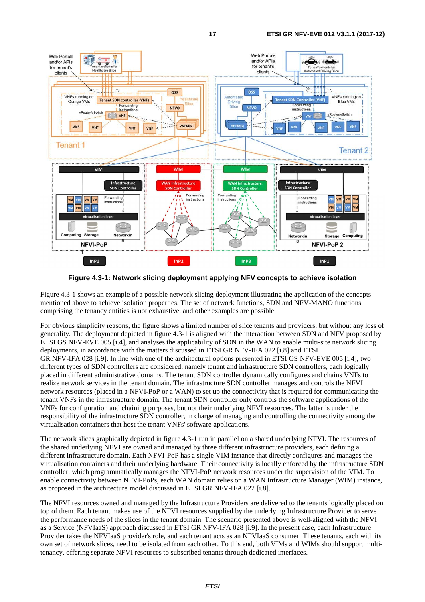

**Figure 4.3-1: Network slicing deployment applying NFV concepts to achieve isolation** 

Figure 4.3-1 shows an example of a possible network slicing deployment illustrating the application of the concepts mentioned above to achieve isolation properties. The set of network functions, SDN and NFV-MANO functions comprising the tenancy entities is not exhaustive, and other examples are possible.

For obvious simplicity reasons, the figure shows a limited number of slice tenants and providers, but without any loss of generality. The deployment depicted in figure 4.3-1 is aligned with the interaction between SDN and NFV proposed by ETSI GS NFV-EVE 005 [[i.4\]](#page-5-0), and analyses the applicability of SDN in the WAN to enable multi-site network slicing deployments, in accordance with the matters discussed in ETSI GR NFV-IFA 022 [\[i.8](#page-5-0)] and ETSI GR NFV-IFA 028 [\[i.9\]](#page-5-0). In line with one of the architectural options presented in ETSI GS NFV-EVE 005 [[i.4](#page-5-0)], two different types of SDN controllers are considered, namely tenant and infrastructure SDN controllers, each logically placed in different administrative domains. The tenant SDN controller dynamically configures and chains VNFs to realize network services in the tenant domain. The infrastructure SDN controller manages and controls the NFVI network resources (placed in a NFVI-PoP or a WAN) to set up the connectivity that is required for communicating the tenant VNFs in the infrastructure domain. The tenant SDN controller only controls the software applications of the VNFs for configuration and chaining purposes, but not their underlying NFVI resources. The latter is under the responsibility of the infrastructure SDN controller, in charge of managing and controlling the connectivity among the virtualisation containers that host the tenant VNFs' software applications.

The network slices graphically depicted in figure 4.3-1 run in parallel on a shared underlying NFVI. The resources of the shared underlying NFVI are owned and managed by three different infrastructure providers, each defining a different infrastructure domain. Each NFVI-PoP has a single VIM instance that directly configures and manages the virtualisation containers and their underlying hardware. Their connectivity is locally enforced by the infrastructure SDN controller, which programmatically manages the NFVI-PoP network resources under the supervision of the VIM. To enable connectivity between NFVI-PoPs, each WAN domain relies on a WAN Infrastructure Manager (WIM) instance, as proposed in the architecture model discussed in ETSI GR NFV-IFA 022 [[i.8\]](#page-5-0).

The NFVI resources owned and managed by the Infrastructure Providers are delivered to the tenants logically placed on top of them. Each tenant makes use of the NFVI resources supplied by the underlying Infrastructure Provider to serve the performance needs of the slices in the tenant domain. The scenario presented above is well-aligned with the NFVI as a Service (NFVIaaS) approach discussed in ETSI GR NFV-IFA 028 [[i.9](#page-5-0)]. In the present case, each Infrastructure Provider takes the NFVIaaS provider's role, and each tenant acts as an NFVIaaS consumer. These tenants, each with its own set of network slices, need to be isolated from each other. To this end, both VIMs and WIMs should support multitenancy, offering separate NFVI resources to subscribed tenants through dedicated interfaces.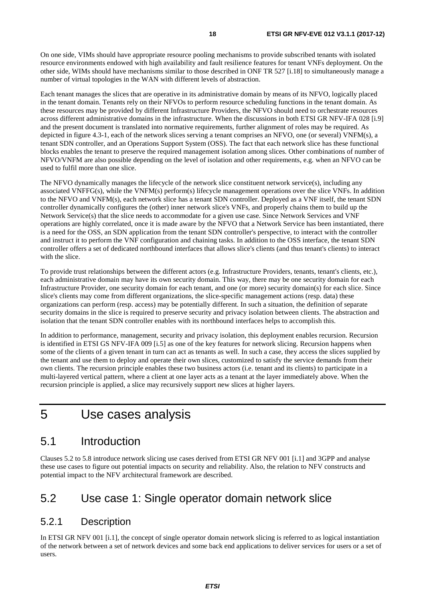<span id="page-17-0"></span>On one side, VIMs should have appropriate resource pooling mechanisms to provide subscribed tenants with isolated resource environments endowed with high availability and fault resilience features for tenant VNFs deployment. On the other side, WIMs should have mechanisms similar to those described in ONF TR 527 [\[i.18](#page-6-0)] to simultaneously manage a number of virtual topologies in the WAN with different levels of abstraction.

Each tenant manages the slices that are operative in its administrative domain by means of its NFVO, logically placed in the tenant domain. Tenants rely on their NFVOs to perform resource scheduling functions in the tenant domain. As these resources may be provided by different Infrastructure Providers, the NFVO should need to orchestrate resources across different administrative domains in the infrastructure. When the discussions in both ETSI GR NFV-IFA 028 [[i.9\]](#page-5-0) and the present document is translated into normative requirements, further alignment of roles may be required. As depicted in figure 4.3-1, each of the network slices serving a tenant comprises an NFVO, one (or several) VNFM(s), a tenant SDN controller, and an Operations Support System (OSS). The fact that each network slice has these functional blocks enables the tenant to preserve the required management isolation among slices. Other combinations of number of NFVO/VNFM are also possible depending on the level of isolation and other requirements, e.g. when an NFVO can be used to fulfil more than one slice.

The NFVO dynamically manages the lifecycle of the network slice constituent network service(s), including any associated VNFFG(s), while the VNFM(s) perform(s) lifecycle management operations over the slice VNFs. In addition to the NFVO and VNFM(s), each network slice has a tenant SDN controller. Deployed as a VNF itself, the tenant SDN controller dynamically configures the (other) inner network slice's VNFs, and properly chains them to build up the Network Service(s) that the slice needs to accommodate for a given use case. Since Network Services and VNF operations are highly correlated, once it is made aware by the NFVO that a Network Service has been instantiated, there is a need for the OSS, an SDN application from the tenant SDN controller's perspective, to interact with the controller and instruct it to perform the VNF configuration and chaining tasks. In addition to the OSS interface, the tenant SDN controller offers a set of dedicated northbound interfaces that allows slice's clients (and thus tenant's clients) to interact with the slice.

To provide trust relationships between the different actors (e.g. Infrastructure Providers, tenants, tenant's clients, etc.), each administrative domain may have its own security domain. This way, there may be one security domain for each Infrastructure Provider, one security domain for each tenant, and one (or more) security domain(s) for each slice. Since slice's clients may come from different organizations, the slice-specific management actions (resp. data) these organizations can perform (resp. access) may be potentially different. In such a situation, the definition of separate security domains in the slice is required to preserve security and privacy isolation between clients. The abstraction and isolation that the tenant SDN controller enables with its northbound interfaces helps to accomplish this.

In addition to performance, management, security and privacy isolation, this deployment enables recursion. Recursion is identified in ETSI GS NFV-IFA 009 [[i.5\]](#page-5-0) as one of the key features for network slicing. Recursion happens when some of the clients of a given tenant in turn can act as tenants as well. In such a case, they access the slices supplied by the tenant and use them to deploy and operate their own slices, customized to satisfy the service demands from their own clients. The recursion principle enables these two business actors (i.e. tenant and its clients) to participate in a multi-layered vertical pattern, where a client at one layer acts as a tenant at the layer immediately above. When the recursion principle is applied, a slice may recursively support new slices at higher layers.

# 5 Use cases analysis

### 5.1 Introduction

Clauses 5.2 to 5.8 introduce network slicing use cases derived from ETSI GR NFV 001 [\[i.1\]](#page-5-0) and 3GPP and analyse these use cases to figure out potential impacts on security and reliability. Also, the relation to NFV constructs and potential impact to the NFV architectural framework are described.

### 5.2 Use case 1: Single operator domain network slice

#### 5.2.1 Description

In ETSI GR NFV 001 [\[i.1](#page-5-0)], the concept of single operator domain network slicing is referred to as logical instantiation of the network between a set of network devices and some back end applications to deliver services for users or a set of users.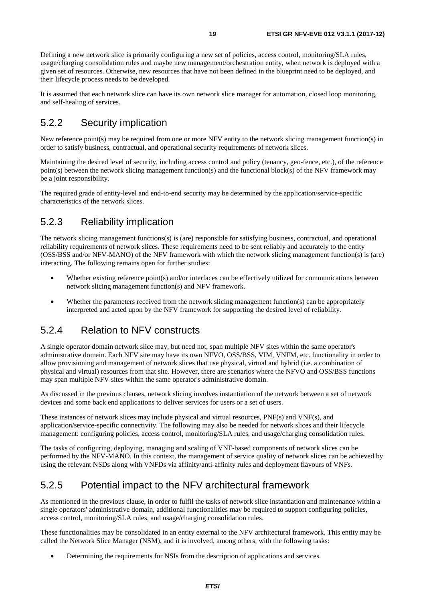<span id="page-18-0"></span>Defining a new network slice is primarily configuring a new set of policies, access control, monitoring/SLA rules, usage/charging consolidation rules and maybe new management/orchestration entity, when network is deployed with a given set of resources. Otherwise, new resources that have not been defined in the blueprint need to be deployed, and their lifecycle process needs to be developed.

It is assumed that each network slice can have its own network slice manager for automation, closed loop monitoring, and self-healing of services.

### 5.2.2 Security implication

New reference point(s) may be required from one or more NFV entity to the network slicing management function(s) in order to satisfy business, contractual, and operational security requirements of network slices.

Maintaining the desired level of security, including access control and policy (tenancy, geo-fence, etc.), of the reference point(s) between the network slicing management function(s) and the functional block(s) of the NFV framework may be a joint responsibility.

The required grade of entity-level and end-to-end security may be determined by the application/service-specific characteristics of the network slices.

### 5.2.3 Reliability implication

The network slicing management functions(s) is (are) responsible for satisfying business, contractual, and operational reliability requirements of network slices. These requirements need to be sent reliably and accurately to the entity (OSS/BSS and/or NFV-MANO) of the NFV framework with which the network slicing management function(s) is (are) interacting. The following remains open for further studies:

- Whether existing reference point(s) and/or interfaces can be effectively utilized for communications between network slicing management function(s) and NFV framework.
- Whether the parameters received from the network slicing management function(s) can be appropriately interpreted and acted upon by the NFV framework for supporting the desired level of reliability.

#### 5.2.4 Relation to NFV constructs

A single operator domain network slice may, but need not, span multiple NFV sites within the same operator's administrative domain. Each NFV site may have its own NFVO, OSS/BSS, VIM, VNFM, etc. functionality in order to allow provisioning and management of network slices that use physical, virtual and hybrid (i.e. a combination of physical and virtual) resources from that site. However, there are scenarios where the NFVO and OSS/BSS functions may span multiple NFV sites within the same operator's administrative domain.

As discussed in the previous clauses, network slicing involves instantiation of the network between a set of network devices and some back end applications to deliver services for users or a set of users.

These instances of network slices may include physical and virtual resources, PNF(s) and VNF(s), and application/service-specific connectivity. The following may also be needed for network slices and their lifecycle management: configuring policies, access control, monitoring/SLA rules, and usage/charging consolidation rules.

The tasks of configuring, deploying, managing and scaling of VNF-based components of network slices can be performed by the NFV-MANO. In this context, the management of service quality of network slices can be achieved by using the relevant NSDs along with VNFDs via affinity/anti-affinity rules and deployment flavours of VNFs.

### 5.2.5 Potential impact to the NFV architectural framework

As mentioned in the previous clause, in order to fulfil the tasks of network slice instantiation and maintenance within a single operators' administrative domain, additional functionalities may be required to support configuring policies, access control, monitoring/SLA rules, and usage/charging consolidation rules.

These functionalities may be consolidated in an entity external to the NFV architectural framework. This entity may be called the Network Slice Manager (NSM), and it is involved, among others, with the following tasks:

• Determining the requirements for NSIs from the description of applications and services.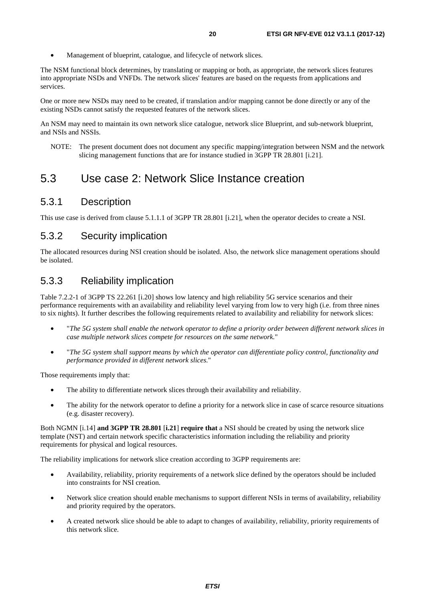<span id="page-19-0"></span>• Management of blueprint, catalogue, and lifecycle of network slices.

The NSM functional block determines, by translating or mapping or both, as appropriate, the network slices features into appropriate NSDs and VNFDs. The network slices' features are based on the requests from applications and services.

One or more new NSDs may need to be created, if translation and/or mapping cannot be done directly or any of the existing NSDs cannot satisfy the requested features of the network slices.

An NSM may need to maintain its own network slice catalogue, network slice Blueprint, and sub-network blueprint, and NSIs and NSSIs.

NOTE: The present document does not document any specific mapping/integration between NSM and the network slicing management functions that are for instance studied in 3GPP TR 28.801 [[i.21](#page-6-0)].

### 5.3 Use case 2: Network Slice Instance creation

#### 5.3.1 Description

This use case is derived from clause 5.1.1.1 of 3GPP TR 28.801 [[i.21\]](#page-6-0), when the operator decides to create a NSI.

#### 5.3.2 Security implication

The allocated resources during NSI creation should be isolated. Also, the network slice management operations should be isolated.

### 5.3.3 Reliability implication

Table 7.2.2-1 of 3GPP TS 22.261 [[i.20](#page-6-0)] shows low latency and high reliability 5G service scenarios and their performance requirements with an availability and reliability level varying from low to very high (i.e. from three nines to six nights). It further describes the following requirements related to availability and reliability for network slices:

- "*The 5G system shall enable the network operator to define a priority order between different network slices in case multiple network slices compete for resources on the same network.*"
- "*The 5G system shall support means by which the operator can differentiate policy control, functionality and performance provided in different network slices.*"

Those requirements imply that:

- The ability to differentiate network slices through their availability and reliability.
- The ability for the network operator to define a priority for a network slice in case of scarce resource situations (e.g. disaster recovery).

Both NGMN [[i.14](#page-6-0)] **and 3GPP TR 28.801** [**[i.21](#page-6-0)**] **require that** a NSI should be created by using the network slice template (NST) and certain network specific characteristics information including the reliability and priority requirements for physical and logical resources.

The reliability implications for network slice creation according to 3GPP requirements are:

- Availability, reliability, priority requirements of a network slice defined by the operators should be included into constraints for NSI creation.
- Network slice creation should enable mechanisms to support different NSIs in terms of availability, reliability and priority required by the operators.
- A created network slice should be able to adapt to changes of availability, reliability, priority requirements of this network slice.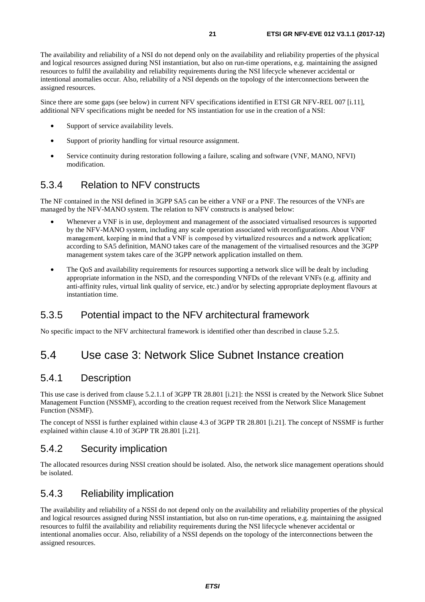<span id="page-20-0"></span>The availability and reliability of a NSI do not depend only on the availability and reliability properties of the physical and logical resources assigned during NSI instantiation, but also on run-time operations, e.g. maintaining the assigned resources to fulfil the availability and reliability requirements during the NSI lifecycle whenever accidental or intentional anomalies occur. Also, reliability of a NSI depends on the topology of the interconnections between the assigned resources.

Since there are some gaps (see below) in current NFV specifications identified in ETSI GR NFV-REL 007 [[i.11\]](#page-5-0), additional NFV specifications might be needed for NS instantiation for use in the creation of a NSI:

- Support of service availability levels.
- Support of priority handling for virtual resource assignment.
- Service continuity during restoration following a failure, scaling and software (VNF, MANO, NFVI) modification.

### 5.3.4 Relation to NFV constructs

The NF contained in the NSI defined in 3GPP SA5 can be either a VNF or a PNF. The resources of the VNFs are managed by the NFV-MANO system. The relation to NFV constructs is analysed below:

- Whenever a VNF is in use, deployment and management of the associated virtualised resources is supported by the NFV-MANO system, including any scale operation associated with reconfigurations. About VNF management, keeping in mind that a VNF is composed by virtualized resources and a network application; according to SA5 definition, MANO takes care of the management of the virtualised resources and the 3GPP management system takes care of the 3GPP network application installed on them.
- The QoS and availability requirements for resources supporting a network slice will be dealt by including appropriate information in the NSD, and the corresponding VNFDs of the relevant VNFs (e.g. affinity and anti-affinity rules, virtual link quality of service, etc.) and/or by selecting appropriate deployment flavours at instantiation time.

#### 5.3.5 Potential impact to the NFV architectural framework

No specific impact to the NFV architectural framework is identified other than described in clause 5.2.5.

# 5.4 Use case 3: Network Slice Subnet Instance creation

#### 5.4.1 Description

This use case is derived from clause 5.2.1.1 of 3GPP TR 28.801 [[i.21](#page-6-0)]: the NSSI is created by the Network Slice Subnet Management Function (NSSMF), according to the creation request received from the Network Slice Management Function (NSMF).

The concept of NSSI is further explained within clause 4.3 of 3GPP TR 28.801 [\[i.21\]](#page-6-0). The concept of NSSMF is further explained within clause 4.10 of 3GPP TR 28.801 [[i.21](#page-6-0)].

#### 5.4.2 Security implication

The allocated resources during NSSI creation should be isolated. Also, the network slice management operations should be isolated.

### 5.4.3 Reliability implication

accoding to SAS definition. MANN takes care of the minagement of the virtualized resources and the 3GF<br>management system takes care of the 3GFP network application installed on them.<br>The QoS and availability requirements f The availability and reliability of a NSSI do not depend only on the availability and reliability properties of the physical and logical resources assigned during NSSI instantiation, but also on run-time operations, e.g. maintaining the assigned resources to fulfil the availability and reliability requirements during the NSI lifecycle whenever accidental or intentional anomalies occur. Also, reliability of a NSSI depends on the topology of the interconnections between the assigned resources.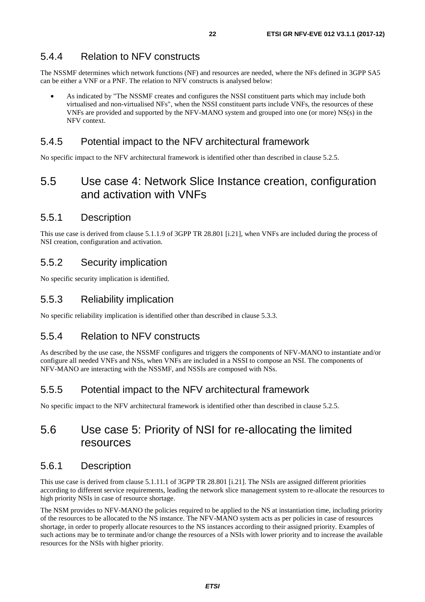#### <span id="page-21-0"></span>5.4.4 Relation to NFV constructs

The NSSMF determines which network functions (NF) and resources are needed, where the NFs defined in 3GPP SA5 can be either a VNF or a PNF. The relation to NFV constructs is analysed below:

• As indicated by "The NSSMF creates and configures the NSSI constituent parts which may include both virtualised and non-virtualised NFs", when the NSSI constituent parts include VNFs, the resources of these VNFs are provided and supported by the NFV-MANO system and grouped into one (or more) NS(s) in the NFV context.

#### 5.4.5 Potential impact to the NFV architectural framework

No specific impact to the NFV architectural framework is identified other than described in clause 5.2.5.

# 5.5 Use case 4: Network Slice Instance creation, configuration and activation with VNFs

#### 5.5.1 Description

This use case is derived from clause 5.1.1.9 of 3GPP TR 28.801 [[i.21](#page-6-0)], when VNFs are included during the process of NSI creation, configuration and activation.

#### 5.5.2 Security implication

No specific security implication is identified.

#### 5.5.3 Reliability implication

No specific reliability implication is identified other than described in clause 5.3.3.

#### 5.5.4 Relation to NFV constructs

As described by the use case, the NSSMF configures and triggers the components of NFV-MANO to instantiate and/or configure all needed VNFs and NSs, when VNFs are included in a NSSI to compose an NSI. The components of NFV-MANO are interacting with the NSSMF, and NSSIs are composed with NSs.

#### 5.5.5 Potential impact to the NFV architectural framework

No specific impact to the NFV architectural framework is identified other than described in clause 5.2.5.

# 5.6 Use case 5: Priority of NSI for re-allocating the limited resources

#### 5.6.1 Description

This use case is derived from clause 5.1.11.1 of 3GPP TR 28.801 [[i.21\]](#page-6-0). The NSIs are assigned different priorities according to different service requirements, leading the network slice management system to re-allocate the resources to high priority NSIs in case of resource shortage.

The NSM provides to NFV-MANO the policies required to be applied to the NS at instantiation time, including priority of the resources to be allocated to the NS instance. The NFV-MANO system acts as per policies in case of resources shortage, in order to properly allocate resources to the NS instances according to their assigned priority. Examples of such actions may be to terminate and/or change the resources of a NSIs with lower priority and to increase the available resources for the NSIs with higher priority.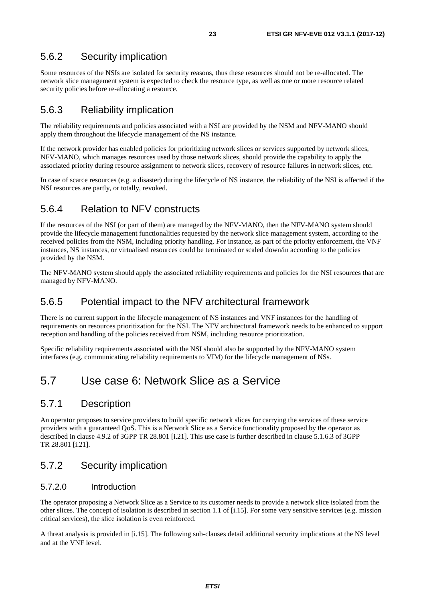### <span id="page-22-0"></span>5.6.2 Security implication

Some resources of the NSIs are isolated for security reasons, thus these resources should not be re-allocated. The network slice management system is expected to check the resource type, as well as one or more resource related security policies before re-allocating a resource.

### 5.6.3 Reliability implication

The reliability requirements and policies associated with a NSI are provided by the NSM and NFV-MANO should apply them throughout the lifecycle management of the NS instance.

If the network provider has enabled policies for prioritizing network slices or services supported by network slices, NFV-MANO, which manages resources used by those network slices, should provide the capability to apply the associated priority during resource assignment to network slices, recovery of resource failures in network slices, etc.

In case of scarce resources (e.g. a disaster) during the lifecycle of NS instance, the reliability of the NSI is affected if the NSI resources are partly, or totally, revoked.

### 5.6.4 Relation to NFV constructs

If the resources of the NSI (or part of them) are managed by the NFV-MANO, then the NFV-MANO system should provide the lifecycle management functionalities requested by the network slice management system, according to the received policies from the NSM, including priority handling. For instance, as part of the priority enforcement, the VNF instances, NS instances, or virtualised resources could be terminated or scaled down/in according to the policies provided by the NSM.

The NFV-MANO system should apply the associated reliability requirements and policies for the NSI resources that are managed by NFV-MANO.

#### 5.6.5 Potential impact to the NFV architectural framework

There is no current support in the lifecycle management of NS instances and VNF instances for the handling of requirements on resources prioritization for the NSI. The NFV architectural framework needs to be enhanced to support reception and handling of the policies received from NSM, including resource prioritization.

Specific reliability requirements associated with the NSI should also be supported by the NFV-MANO system interfaces (e.g. communicating reliability requirements to VIM) for the lifecycle management of NSs.

# 5.7 Use case 6: Network Slice as a Service

### 5.7.1 Description

An operator proposes to service providers to build specific network slices for carrying the services of these service providers with a guaranteed QoS. This is a Network Slice as a Service functionality proposed by the operator as described in clause 4.9.2 of 3GPP TR 28.801 [[i.21](#page-6-0)]. This use case is further described in clause 5.1.6.3 of 3GPP TR 28.801 [\[i.21](#page-6-0)].

### 5.7.2 Security implication

#### 5.7.2.0 Introduction

The operator proposing a Network Slice as a Service to its customer needs to provide a network slice isolated from the other slices. The concept of isolation is described in section 1.1 of [\[i.15\]](#page-6-0). For some very sensitive services (e.g. mission critical services), the slice isolation is even reinforced.

A threat analysis is provided in [\[i.15](#page-6-0)]. The following sub-clauses detail additional security implications at the NS level and at the VNF level.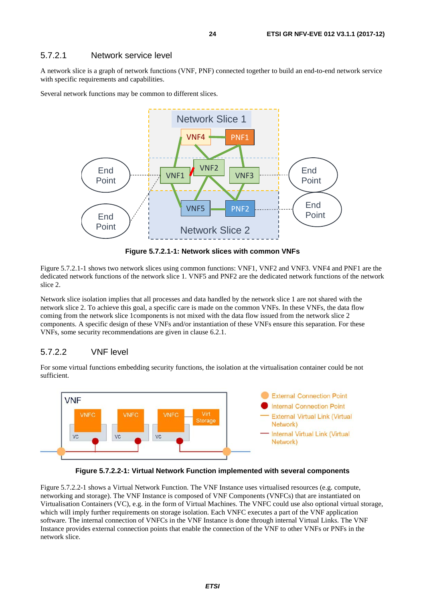#### <span id="page-23-0"></span>5.7.2.1 Network service level

A network slice is a graph of network functions (VNF, PNF) connected together to build an end-to-end network service with specific requirements and capabilities.

Several network functions may be common to different slices.



**Figure 5.7.2.1-1: Network slices with common VNFs** 

Figure 5.7.2.1-1 shows two network slices using common functions: VNF1, VNF2 and VNF3. VNF4 and PNF1 are the dedicated network functions of the network slice 1. VNF5 and PNF2 are the dedicated network functions of the network slice 2.

Network slice isolation implies that all processes and data handled by the network slice 1 are not shared with the network slice 2. To achieve this goal, a specific care is made on the common VNFs. In these VNFs, the data flow coming from the network slice 1components is not mixed with the data flow issued from the network slice 2 components. A specific design of these VNFs and/or instantiation of these VNFs ensure this separation. For these VNFs, some security recommendations are given in clause 6.2.1.

#### 5.7.2.2 VNF level

For some virtual functions embedding security functions, the isolation at the virtualisation container could be not sufficient.





Figure 5.7.2.2-1 shows a Virtual Network Function. The VNF Instance uses virtualised resources (e.g. compute, networking and storage). The VNF Instance is composed of VNF Components (VNFCs) that are instantiated on Virtualisation Containers (VC), e.g. in the form of Virtual Machines. The VNFC could use also optional virtual storage, which will imply further requirements on storage isolation. Each VNFC executes a part of the VNF application software. The internal connection of VNFCs in the VNF Instance is done through internal Virtual Links. The VNF Instance provides external connection points that enable the connection of the VNF to other VNFs or PNFs in the network slice.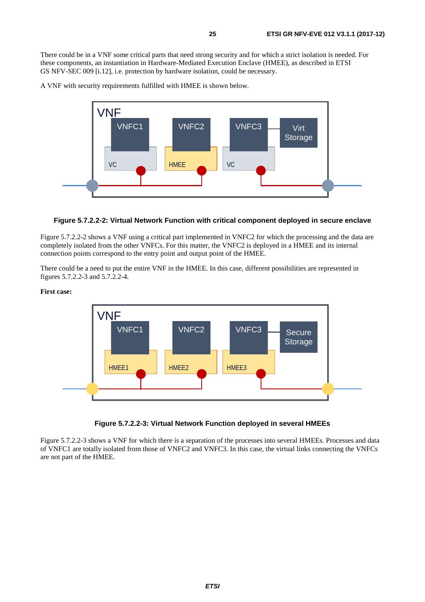There could be in a VNF some critical parts that need strong security and for which a strict isolation is needed. For these components, an instantiation in Hardware-Mediated Execution Enclave (HMEE), as described in ETSI GS NFV-SEC 009 [[i.12](#page-6-0)], i.e. protection by hardware isolation, could be necessary.

A VNF with security requirements fulfilled with HMEE is shown below.



#### **Figure 5.7.2.2-2: Virtual Network Function with critical component deployed in secure enclave**

Figure 5.7.2.2-2 shows a VNF using a critical part implemented in VNFC2 for which the processing and the data are completely isolated from the other VNFCs. For this matter, the VNFC2 is deployed in a HMEE and its internal connection points correspond to the entry point and output point of the HMEE.

There could be a need to put the entire VNF in the HMEE. In this case, different possibilities are represented in figures 5.7.2.2-3 and 5.7.2.2-4.

#### **First case:**



#### **Figure 5.7.2.2-3: Virtual Network Function deployed in several HMEEs**

Figure 5.7.2.2-3 shows a VNF for which there is a separation of the processes into several HMEEs. Processes and data of VNFC1 are totally isolated from those of VNFC2 and VNFC3. In this case, the virtual links connecting the VNFCs are not part of the HMEE.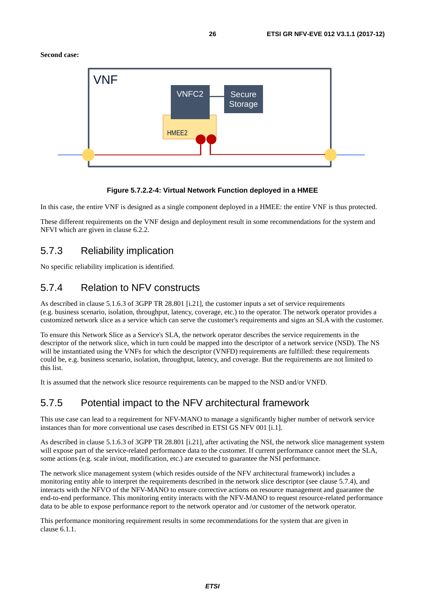<span id="page-25-0"></span>**Second case:** 



#### **Figure 5.7.2.2-4: Virtual Network Function deployed in a HMEE**

In this case, the entire VNF is designed as a single component deployed in a HMEE: the entire VNF is thus protected.

These different requirements on the VNF design and deployment result in some recommendations for the system and NFVI which are given in clause 6.2.2.

### 5.7.3 Reliability implication

No specific reliability implication is identified.

#### 5.7.4 Relation to NFV constructs

As described in clause 5.1.6.3 of 3GPP TR 28.801 [[i.21](#page-6-0)], the customer inputs a set of service requirements (e.g. business scenario, isolation, throughput, latency, coverage, etc.) to the operator. The network operator provides a customized network slice as a service which can serve the customer's requirements and signs an SLA with the customer.

To ensure this Network Slice as a Service's SLA, the network operator describes the service requirements in the descriptor of the network slice, which in turn could be mapped into the descriptor of a network service (NSD). The NS will be instantiated using the VNFs for which the descriptor (VNFD) requirements are fulfilled: these requirements could be, e.g. business scenario, isolation, throughput, latency, and coverage. But the requirements are not limited to this list.

It is assumed that the network slice resource requirements can be mapped to the NSD and/or VNFD.

### 5.7.5 Potential impact to the NFV architectural framework

This use case can lead to a requirement for NFV-MANO to manage a significantly higher number of network service instances than for more conventional use cases described in ETSI GS NFV 001 [[i.1\]](#page-5-0).

As described in clause 5.1.6.3 of 3GPP TR 28.801 [[i.21](#page-6-0)], after activating the NSI, the network slice management system will expose part of the service-related performance data to the customer. If current performance cannot meet the SLA, some actions (e.g. scale in/out, modification, etc.) are executed to guarantee the NSI performance.

The network slice management system (which resides outside of the NFV architectural framework) includes a monitoring entity able to interpret the requirements described in the network slice descriptor (see clause 5.7.4), and interacts with the NFVO of the NFV-MANO to ensure corrective actions on resource management and guarantee the end-to-end performance. This monitoring entity interacts with the NFV-MANO to request resource-related performance data to be able to expose performance report to the network operator and /or customer of the network operator.

This performance monitoring requirement results in some recommendations for the system that are given in clause 6.1.1.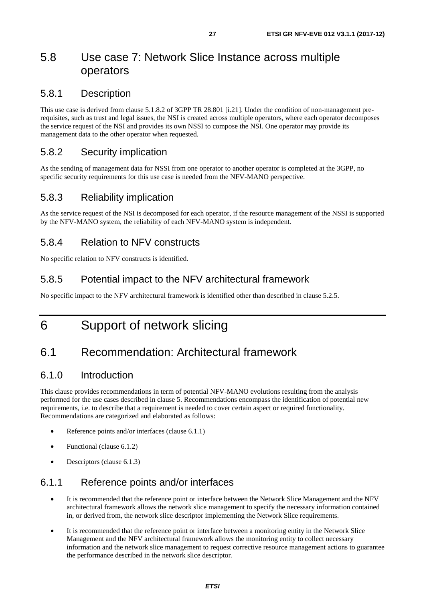# <span id="page-26-0"></span>5.8 Use case 7: Network Slice Instance across multiple operators

#### 5.8.1 Description

This use case is derived from clause 5.1.8.2 of 3GPP TR 28.801 [[i.21](#page-6-0)]. Under the condition of non-management prerequisites, such as trust and legal issues, the NSI is created across multiple operators, where each operator decomposes the service request of the NSI and provides its own NSSI to compose the NSI. One operator may provide its management data to the other operator when requested.

### 5.8.2 Security implication

As the sending of management data for NSSI from one operator to another operator is completed at the 3GPP, no specific security requirements for this use case is needed from the NFV-MANO perspective.

### 5.8.3 Reliability implication

As the service request of the NSI is decomposed for each operator, if the resource management of the NSSI is supported by the NFV-MANO system, the reliability of each NFV-MANO system is independent.

### 5.8.4 Relation to NFV constructs

No specific relation to NFV constructs is identified.

#### 5.8.5 Potential impact to the NFV architectural framework

No specific impact to the NFV architectural framework is identified other than described in clause 5.2.5.

# 6 Support of network slicing

# 6.1 Recommendation: Architectural framework

#### 6.1.0 Introduction

This clause provides recommendations in term of potential NFV-MANO evolutions resulting from the analysis performed for the use cases described in clause 5. Recommendations encompass the identification of potential new requirements, i.e. to describe that a requirement is needed to cover certain aspect or required functionality. Recommendations are categorized and elaborated as follows:

- Reference points and/or interfaces (clause 6.1.1)
- Functional (clause 6.1.2)
- Descriptors (clause 6.1.3)

### 6.1.1 Reference points and/or interfaces

- It is recommended that the reference point or interface between the Network Slice Management and the NFV architectural framework allows the network slice management to specify the necessary information contained in, or derived from, the network slice descriptor implementing the Network Slice requirements.
- It is recommended that the reference point or interface between a monitoring entity in the Network Slice Management and the NFV architectural framework allows the monitoring entity to collect necessary information and the network slice management to request corrective resource management actions to guarantee the performance described in the network slice descriptor.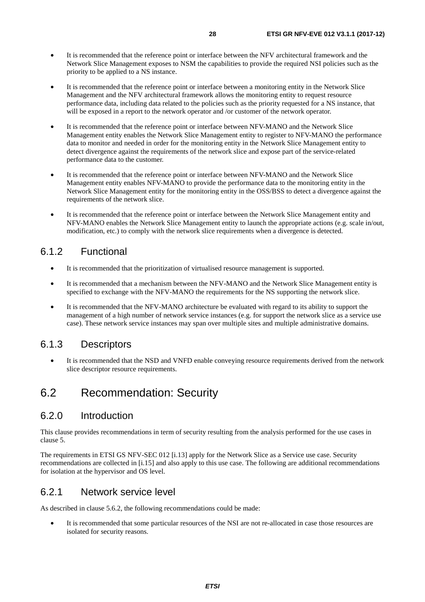- <span id="page-27-0"></span>• It is recommended that the reference point or interface between the NFV architectural framework and the Network Slice Management exposes to NSM the capabilities to provide the required NSI policies such as the priority to be applied to a NS instance.
- It is recommended that the reference point or interface between a monitoring entity in the Network Slice Management and the NFV architectural framework allows the monitoring entity to request resource performance data, including data related to the policies such as the priority requested for a NS instance, that will be exposed in a report to the network operator and /or customer of the network operator.
- It is recommended that the reference point or interface between NFV-MANO and the Network Slice Management entity enables the Network Slice Management entity to register to NFV-MANO the performance data to monitor and needed in order for the monitoring entity in the Network Slice Management entity to detect divergence against the requirements of the network slice and expose part of the service-related performance data to the customer.
- It is recommended that the reference point or interface between NFV-MANO and the Network Slice Management entity enables NFV-MANO to provide the performance data to the monitoring entity in the Network Slice Management entity for the monitoring entity in the OSS/BSS to detect a divergence against the requirements of the network slice.
- It is recommended that the reference point or interface between the Network Slice Management entity and NFV-MANO enables the Network Slice Management entity to launch the appropriate actions (e.g. scale in/out, modification, etc.) to comply with the network slice requirements when a divergence is detected.

#### 6.1.2 Functional

- It is recommended that the prioritization of virtualised resource management is supported.
- It is recommended that a mechanism between the NFV-MANO and the Network Slice Management entity is specified to exchange with the NFV-MANO the requirements for the NS supporting the network slice.
- It is recommended that the NFV-MANO architecture be evaluated with regard to its ability to support the management of a high number of network service instances (e.g. for support the network slice as a service use case). These network service instances may span over multiple sites and multiple administrative domains.

#### 6.1.3 Descriptors

It is recommended that the NSD and VNFD enable conveying resource requirements derived from the network slice descriptor resource requirements.

### 6.2 Recommendation: Security

#### 6.2.0 Introduction

This clause provides recommendations in term of security resulting from the analysis performed for the use cases in clause 5.

The requirements in ETSI GS NFV-SEC 012 [[i.13\]](#page-6-0) apply for the Network Slice as a Service use case. Security recommendations are collected in [\[i.15](#page-6-0)] and also apply to this use case. The following are additional recommendations for isolation at the hypervisor and OS level.

#### 6.2.1 Network service level

As described in clause 5.6.2, the following recommendations could be made:

• It is recommended that some particular resources of the NSI are not re-allocated in case those resources are isolated for security reasons.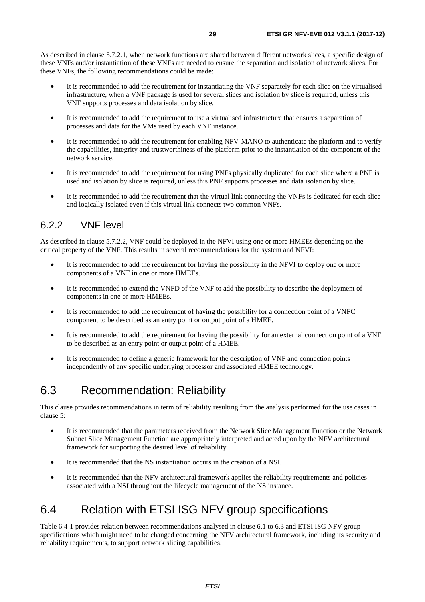<span id="page-28-0"></span>As described in clause 5.7.2.1, when network functions are shared between different network slices, a specific design of these VNFs and/or instantiation of these VNFs are needed to ensure the separation and isolation of network slices. For these VNFs, the following recommendations could be made:

- It is recommended to add the requirement for instantiating the VNF separately for each slice on the virtualised infrastructure, when a VNF package is used for several slices and isolation by slice is required, unless this VNF supports processes and data isolation by slice.
- It is recommended to add the requirement to use a virtualised infrastructure that ensures a separation of processes and data for the VMs used by each VNF instance.
- It is recommended to add the requirement for enabling NFV-MANO to authenticate the platform and to verify the capabilities, integrity and trustworthiness of the platform prior to the instantiation of the component of the network service.
- It is recommended to add the requirement for using PNFs physically duplicated for each slice where a PNF is used and isolation by slice is required, unless this PNF supports processes and data isolation by slice.
- It is recommended to add the requirement that the virtual link connecting the VNFs is dedicated for each slice and logically isolated even if this virtual link connects two common VNFs.

### 6.2.2 VNF level

As described in clause 5.7.2.2, VNF could be deployed in the NFVI using one or more HMEEs depending on the critical property of the VNF. This results in several recommendations for the system and NFVI:

- It is recommended to add the requirement for having the possibility in the NFVI to deploy one or more components of a VNF in one or more HMEEs.
- It is recommended to extend the VNFD of the VNF to add the possibility to describe the deployment of components in one or more HMEEs.
- It is recommended to add the requirement of having the possibility for a connection point of a VNFC component to be described as an entry point or output point of a HMEE.
- It is recommended to add the requirement for having the possibility for an external connection point of a VNF to be described as an entry point or output point of a HMEE.
- It is recommended to define a generic framework for the description of VNF and connection points independently of any specific underlying processor and associated HMEE technology.

# 6.3 Recommendation: Reliability

This clause provides recommendations in term of reliability resulting from the analysis performed for the use cases in clause 5:

- It is recommended that the parameters received from the Network Slice Management Function or the Network Subnet Slice Management Function are appropriately interpreted and acted upon by the NFV architectural framework for supporting the desired level of reliability.
- It is recommended that the NS instantiation occurs in the creation of a NSI.
- It is recommended that the NFV architectural framework applies the reliability requirements and policies associated with a NSI throughout the lifecycle management of the NS instance.

# 6.4 Relation with ETSI ISG NFV group specifications

Table 6.4-1 provides relation between recommendations analysed in clause 6.1 to 6.3 and ETSI ISG NFV group specifications which might need to be changed concerning the NFV architectural framework, including its security and reliability requirements, to support network slicing capabilities.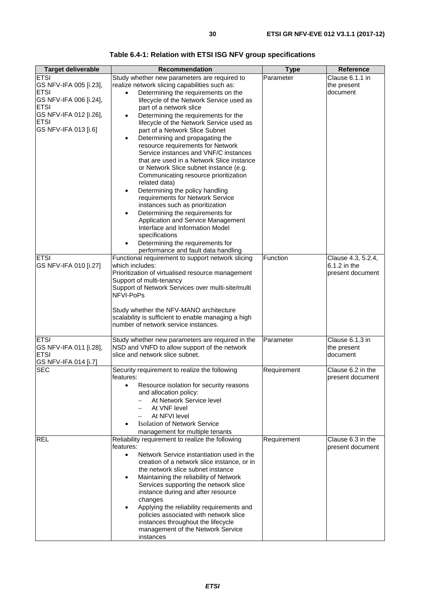| Table 6.4-1: Relation with ETSI ISG NFV group specifications |  |  |  |
|--------------------------------------------------------------|--|--|--|
|                                                              |  |  |  |

| <b>Target deliverable</b>           | <b>Recommendation</b>                                                             | <b>Type</b> | <b>Reference</b>   |
|-------------------------------------|-----------------------------------------------------------------------------------|-------------|--------------------|
| <b>ETSI</b>                         | Study whether new parameters are required to                                      | Parameter   | Clause 6.1.1 in    |
| GS NFV-IFA 005 [i.23],              | realize network slicing capabilities such as:                                     |             | the present        |
| <b>ETSI</b>                         | Determining the requirements on the<br>$\bullet$                                  |             | document           |
| GS NFV-IFA 006 [i.24],              | lifecycle of the Network Service used as                                          |             |                    |
| <b>ETSI</b>                         | part of a network slice                                                           |             |                    |
| GS NFV-IFA 012 [i.26],              | Determining the requirements for the                                              |             |                    |
| <b>ETSI</b><br>GS NFV-IFA 013 [i.6] | lifecycle of the Network Service used as                                          |             |                    |
|                                     | part of a Network Slice Subnet                                                    |             |                    |
|                                     | Determining and propagating the<br>$\bullet$<br>resource requirements for Network |             |                    |
|                                     | Service instances and VNF/C instances                                             |             |                    |
|                                     | that are used in a Network Slice instance                                         |             |                    |
|                                     | or Network Slice subnet instance (e.g.                                            |             |                    |
|                                     | Communicating resource prioritization                                             |             |                    |
|                                     | related data)                                                                     |             |                    |
|                                     | Determining the policy handling<br>$\bullet$                                      |             |                    |
|                                     | requirements for Network Service                                                  |             |                    |
|                                     | instances such as prioritization                                                  |             |                    |
|                                     | Determining the requirements for<br>Application and Service Management            |             |                    |
|                                     | Interface and Information Model                                                   |             |                    |
|                                     | specifications                                                                    |             |                    |
|                                     | Determining the requirements for                                                  |             |                    |
|                                     | performance and fault data handling                                               |             |                    |
| <b>ETSI</b>                         | Functional requirement to support network slicing                                 | Function    | Clause 4.3, 5.2.4, |
| GS NFV-IFA 010 [i.27]               | which includes:                                                                   |             | 6.1.2 in the       |
|                                     | Prioritization of virtualised resource management                                 |             | present document   |
|                                     | Support of multi-tenancy                                                          |             |                    |
|                                     | Support of Network Services over multi-site/multi                                 |             |                    |
|                                     | NFVI-PoPs                                                                         |             |                    |
|                                     | Study whether the NFV-MANO architecture                                           |             |                    |
|                                     | scalability is sufficient to enable managing a high                               |             |                    |
|                                     | number of network service instances.                                              |             |                    |
|                                     |                                                                                   |             |                    |
| <b>ETSI</b>                         | Study whether new parameters are required in the                                  | Parameter   | Clause 6.1.3 in    |
| GS NFV-IFA 011 [i.28],              | NSD and VNFD to allow support of the network                                      |             | the present        |
| <b>ETSI</b>                         | slice and network slice subnet.                                                   |             | document           |
| GS NFV-IFA 014 [i.7]<br><b>SEC</b>  | Security requirement to realize the following                                     | Requirement | Clause 6.2 in the  |
|                                     | features:                                                                         |             | present document   |
|                                     | Resource isolation for security reasons                                           |             |                    |
|                                     | and allocation policy:                                                            |             |                    |
|                                     | At Network Service level                                                          |             |                    |
|                                     | At VNF level                                                                      |             |                    |
|                                     | At NFVI level                                                                     |             |                    |
|                                     | <b>Isolation of Network Service</b>                                               |             |                    |
|                                     | management for multiple tenants                                                   |             |                    |
| <b>REL</b>                          | Reliability requirement to realize the following                                  | Requirement | Clause 6.3 in the  |
|                                     | features:<br>Network Service instantiation used in the<br>$\bullet$               |             | present document   |
|                                     | creation of a network slice instance, or in                                       |             |                    |
|                                     | the network slice subnet instance                                                 |             |                    |
|                                     | Maintaining the reliability of Network                                            |             |                    |
|                                     | Services supporting the network slice                                             |             |                    |
|                                     | instance during and after resource                                                |             |                    |
|                                     | changes                                                                           |             |                    |
|                                     | Applying the reliability requirements and                                         |             |                    |
|                                     | policies associated with network slice                                            |             |                    |
|                                     | instances throughout the lifecycle<br>management of the Network Service           |             |                    |
|                                     | instances                                                                         |             |                    |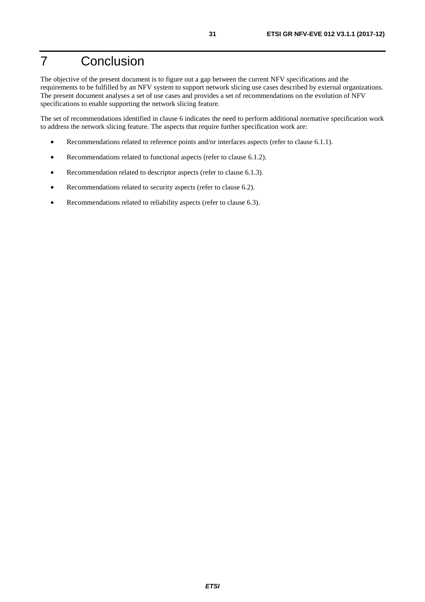# <span id="page-30-0"></span>7 Conclusion

The objective of the present document is to figure out a gap between the current NFV specifications and the requirements to be fulfilled by an NFV system to support network slicing use cases described by external organizations. The present document analyses a set of use cases and provides a set of recommendations on the evolution of NFV specifications to enable supporting the network slicing feature.

The set of recommendations identified in clause 6 indicates the need to perform additional normative specification work to address the network slicing feature. The aspects that require further specification work are:

- Recommendations related to reference points and/or interfaces aspects (refer to clause 6.1.1).
- Recommendations related to functional aspects (refer to clause 6.1.2).
- Recommendation related to descriptor aspects (refer to clause 6.1.3).
- Recommendations related to security aspects (refer to clause 6.2).
- Recommendations related to reliability aspects (refer to clause 6.3).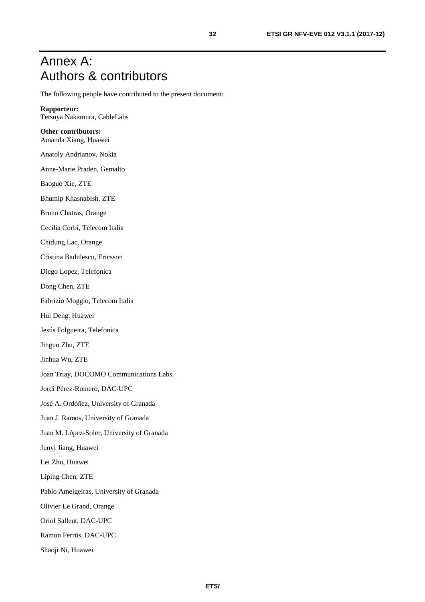# <span id="page-31-0"></span>Annex A: Authors & contributors

The following people have contributed to the present document:

**Rapporteur:** Tetsuya Nakamura, CableLabs

#### **Other contributors:** Amanda Xiang, Huawei

Anatoly Andrianov, Nokia

Anne-Marie Praden, Gemalto

Baoguo Xie, ZTE

Bhumip Khasnabish, ZTE

Bruno Chatras, Orange

Cecilia Corbi, Telecom Italia

Chidung Lac, Orange

Cristina Badulescu, Ericsson

Diego Lopez, Telefonica

Dong Chen, ZTE

Fabrizio Moggio, Telecom Italia

Hui Deng, Huawei

Jesús Folgueira, Telefonica

Jinguo Zhu, ZTE

Jinhua Wu, ZTE

Joan Triay, DOCOMO Communications Labs.

Jordi Pérez-Romero, DAC-UPC

José A. Ordóñez, University of Granada

Juan J. Ramos, University of Granada

Juan M. López-Soler, University of Granada

Junyi Jiang, Huawei

Lei Zhu, Huawei

Liping Chen, ZTE

Pablo Ameigeiras, University of Granada

Olivier Le Grand, Orange

Oriol Sallent, DAC-UPC

Ramon Ferrús, DAC-UPC

Shaoji Ni, Huawei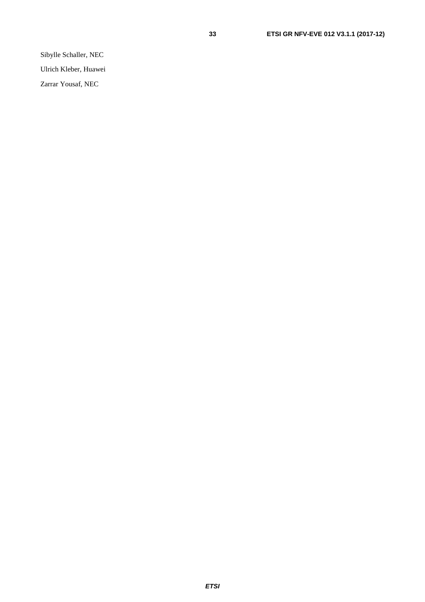Sibylle Schaller, NEC

Ulrich Kleber, Huawei

Zarrar Yousaf, NEC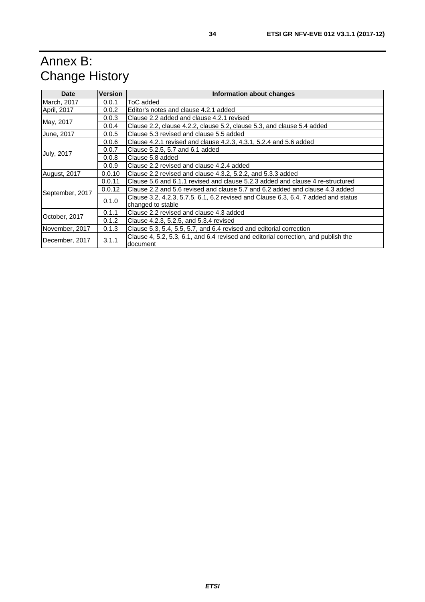# <span id="page-33-0"></span>Annex B: Change History

| <b>Version</b><br>Date                                                                         |        | Information about changes                                                                      |  |  |  |  |  |
|------------------------------------------------------------------------------------------------|--------|------------------------------------------------------------------------------------------------|--|--|--|--|--|
| March, 2017                                                                                    | 0.0.1  | ToC added                                                                                      |  |  |  |  |  |
| April, 2017                                                                                    | 0.0.2  | Editor's notes and clause 4.2.1 added                                                          |  |  |  |  |  |
|                                                                                                | 0.0.3  | Clause 2.2 added and clause 4.2.1 revised                                                      |  |  |  |  |  |
| May, 2017                                                                                      | 0.0.4  | Clause 2.2, clause 4.2.2, clause 5.2, clause 5.3, and clause 5.4 added                         |  |  |  |  |  |
| June, 2017                                                                                     | 0.0.5  | Clause 5.3 revised and clause 5.5 added                                                        |  |  |  |  |  |
|                                                                                                | 0.0.6  | Clause 4.2.1 revised and clause 4.2.3, 4.3.1, 5.2.4 and 5.6 added                              |  |  |  |  |  |
|                                                                                                | 0.0.7  | Clause 5.2.5, 5.7 and 6.1 added                                                                |  |  |  |  |  |
| <b>July, 2017</b>                                                                              | 0.0.8  | Clause 5.8 added                                                                               |  |  |  |  |  |
|                                                                                                | 0.0.9  | Clause 2.2 revised and clause 4.2.4 added                                                      |  |  |  |  |  |
| August, 2017<br>0.0.10<br>Clause 2.2 revised and clause 4.3.2, 5.2.2, and 5.3.3 added          |        |                                                                                                |  |  |  |  |  |
|                                                                                                | 0.0.11 | Clause 5.6 and 6.1.1 revised and clause 5.2.3 added and clause 4 re-structured                 |  |  |  |  |  |
| September, 2017                                                                                | 0.0.12 | Clause 2.2 and 5.6 revised and clause 5.7 and 6.2 added and clause 4.3 added                   |  |  |  |  |  |
|                                                                                                | 0.1.0  | Clause 3.2, 4.2.3, 5.7.5, 6.1, 6.2 revised and Clause 6.3, 6.4, 7 added and status             |  |  |  |  |  |
|                                                                                                |        | changed to stable                                                                              |  |  |  |  |  |
| October, 2017                                                                                  | 0.1.1  | Clause 2.2 revised and clause 4.3 added                                                        |  |  |  |  |  |
|                                                                                                | 0.1.2  | Clause 4.2.3, 5.2.5, and 5.3.4 revised                                                         |  |  |  |  |  |
| Clause 5.3, 5.4, 5.5, 5.7, and 6.4 revised and editorial correction<br>0.1.3<br>November, 2017 |        |                                                                                                |  |  |  |  |  |
| December, 2017                                                                                 | 3.1.1  | Clause 4, 5.2, 5.3, 6.1, and 6.4 revised and editorial correction, and publish the<br>document |  |  |  |  |  |